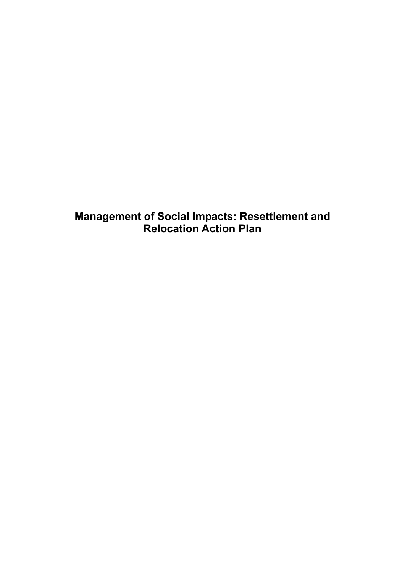**Management of Social Impacts: Resettlement and Relocation Action Plan**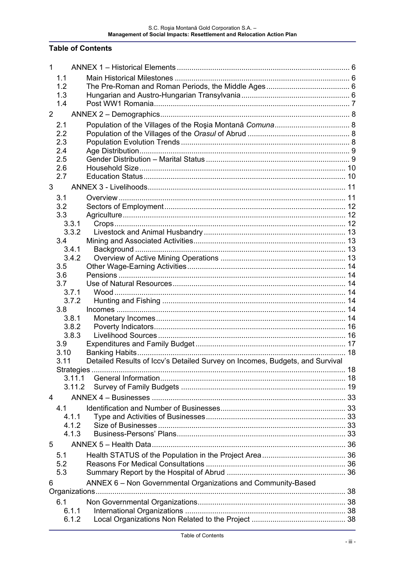### **Table of Contents**

| 1<br>1.1<br>1.2<br>1.3<br>1.4<br>$\overline{2}$<br>2.1<br>2.2<br>2.3<br>2.4<br>2.5<br>2.6<br>2.7<br>3<br>3.1<br>3.2<br>3.3<br>3.3.1<br>3.3.2<br>3.4<br>3.4.1<br>3.4.2<br>3.5<br>3.6<br>3.7<br>3.7.1<br>3.7.2<br>3.8<br>3.8.1<br>3.8.2<br>3.8.3<br>3.9<br>3.10<br>Detailed Results of Iccv's Detailed Survey on Incomes, Budgets, and Survival<br>3.11<br>3.11.1<br>3.11.2<br>4<br>4.1<br>4.1.1<br>4.1.2<br>4.1.3<br>5<br>5.1<br>5.2<br>5.3 |       |  |
|--------------------------------------------------------------------------------------------------------------------------------------------------------------------------------------------------------------------------------------------------------------------------------------------------------------------------------------------------------------------------------------------------------------------------------------------|-------|--|
|                                                                                                                                                                                                                                                                                                                                                                                                                                            |       |  |
|                                                                                                                                                                                                                                                                                                                                                                                                                                            |       |  |
|                                                                                                                                                                                                                                                                                                                                                                                                                                            |       |  |
|                                                                                                                                                                                                                                                                                                                                                                                                                                            |       |  |
|                                                                                                                                                                                                                                                                                                                                                                                                                                            |       |  |
|                                                                                                                                                                                                                                                                                                                                                                                                                                            |       |  |
|                                                                                                                                                                                                                                                                                                                                                                                                                                            |       |  |
|                                                                                                                                                                                                                                                                                                                                                                                                                                            |       |  |
|                                                                                                                                                                                                                                                                                                                                                                                                                                            |       |  |
|                                                                                                                                                                                                                                                                                                                                                                                                                                            |       |  |
|                                                                                                                                                                                                                                                                                                                                                                                                                                            |       |  |
|                                                                                                                                                                                                                                                                                                                                                                                                                                            |       |  |
|                                                                                                                                                                                                                                                                                                                                                                                                                                            |       |  |
|                                                                                                                                                                                                                                                                                                                                                                                                                                            |       |  |
|                                                                                                                                                                                                                                                                                                                                                                                                                                            |       |  |
|                                                                                                                                                                                                                                                                                                                                                                                                                                            |       |  |
|                                                                                                                                                                                                                                                                                                                                                                                                                                            |       |  |
|                                                                                                                                                                                                                                                                                                                                                                                                                                            |       |  |
|                                                                                                                                                                                                                                                                                                                                                                                                                                            |       |  |
|                                                                                                                                                                                                                                                                                                                                                                                                                                            |       |  |
|                                                                                                                                                                                                                                                                                                                                                                                                                                            |       |  |
|                                                                                                                                                                                                                                                                                                                                                                                                                                            |       |  |
|                                                                                                                                                                                                                                                                                                                                                                                                                                            |       |  |
|                                                                                                                                                                                                                                                                                                                                                                                                                                            |       |  |
|                                                                                                                                                                                                                                                                                                                                                                                                                                            |       |  |
|                                                                                                                                                                                                                                                                                                                                                                                                                                            |       |  |
|                                                                                                                                                                                                                                                                                                                                                                                                                                            |       |  |
|                                                                                                                                                                                                                                                                                                                                                                                                                                            |       |  |
|                                                                                                                                                                                                                                                                                                                                                                                                                                            |       |  |
|                                                                                                                                                                                                                                                                                                                                                                                                                                            |       |  |
|                                                                                                                                                                                                                                                                                                                                                                                                                                            |       |  |
|                                                                                                                                                                                                                                                                                                                                                                                                                                            |       |  |
|                                                                                                                                                                                                                                                                                                                                                                                                                                            |       |  |
|                                                                                                                                                                                                                                                                                                                                                                                                                                            |       |  |
|                                                                                                                                                                                                                                                                                                                                                                                                                                            |       |  |
|                                                                                                                                                                                                                                                                                                                                                                                                                                            |       |  |
|                                                                                                                                                                                                                                                                                                                                                                                                                                            |       |  |
|                                                                                                                                                                                                                                                                                                                                                                                                                                            |       |  |
|                                                                                                                                                                                                                                                                                                                                                                                                                                            |       |  |
|                                                                                                                                                                                                                                                                                                                                                                                                                                            |       |  |
|                                                                                                                                                                                                                                                                                                                                                                                                                                            |       |  |
|                                                                                                                                                                                                                                                                                                                                                                                                                                            |       |  |
|                                                                                                                                                                                                                                                                                                                                                                                                                                            |       |  |
|                                                                                                                                                                                                                                                                                                                                                                                                                                            |       |  |
|                                                                                                                                                                                                                                                                                                                                                                                                                                            |       |  |
| ANNEX 6 - Non Governmental Organizations and Community-Based<br>6                                                                                                                                                                                                                                                                                                                                                                          |       |  |
|                                                                                                                                                                                                                                                                                                                                                                                                                                            |       |  |
| 6.1                                                                                                                                                                                                                                                                                                                                                                                                                                        |       |  |
|                                                                                                                                                                                                                                                                                                                                                                                                                                            | 6.1.1 |  |
|                                                                                                                                                                                                                                                                                                                                                                                                                                            |       |  |
|                                                                                                                                                                                                                                                                                                                                                                                                                                            |       |  |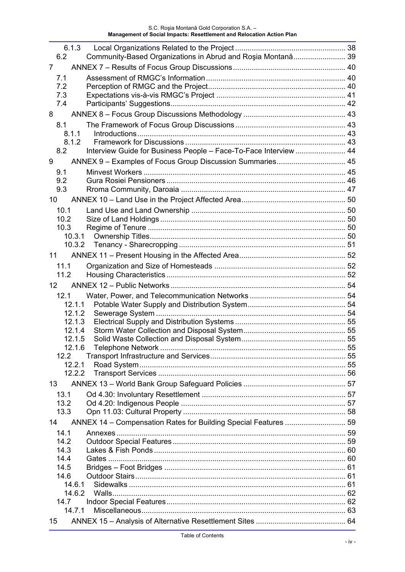| 6.1.3                                                                   |  |
|-------------------------------------------------------------------------|--|
| Community-Based Organizations in Abrud and Roșia Montană 39<br>6.2      |  |
| 7<br>7.1                                                                |  |
| 7.2                                                                     |  |
| 7.3                                                                     |  |
| 7.4                                                                     |  |
| 8                                                                       |  |
| 8.1                                                                     |  |
| 8.1.1<br>8.1.2                                                          |  |
| Interview Guide for Business People - Face-To-Face Interview  44<br>8.2 |  |
| ANNEX 9 - Examples of Focus Group Discussion Summaries 45<br>9          |  |
| 9.1                                                                     |  |
| 9.2                                                                     |  |
| 9.3                                                                     |  |
| 10 <sup>°</sup>                                                         |  |
| 10.1                                                                    |  |
| 10.2                                                                    |  |
| 10.3<br>10.3.1                                                          |  |
| 10.3.2                                                                  |  |
| 11                                                                      |  |
| 11.1                                                                    |  |
| 11.2                                                                    |  |
| 12                                                                      |  |
| 12.1                                                                    |  |
| 12.1.1                                                                  |  |
| 12.1.2                                                                  |  |
| 12.1.3<br>12.1.4                                                        |  |
| 12.1.5                                                                  |  |
| 12.1.6                                                                  |  |
| 12.2                                                                    |  |
| 12.2.1<br>12.2.2                                                        |  |
| 13                                                                      |  |
| 13.1                                                                    |  |
| 13.2                                                                    |  |
| 13.3                                                                    |  |
| ANNEX 14 - Compensation Rates for Building Special Features  59<br>14   |  |
| 14.1                                                                    |  |
| 14.2                                                                    |  |
| 14.3<br>14.4                                                            |  |
| 14.5                                                                    |  |
| 14.6                                                                    |  |
| 14.6.1                                                                  |  |
| 14.6.2<br>14.7                                                          |  |
| 14.7.1                                                                  |  |
| 15                                                                      |  |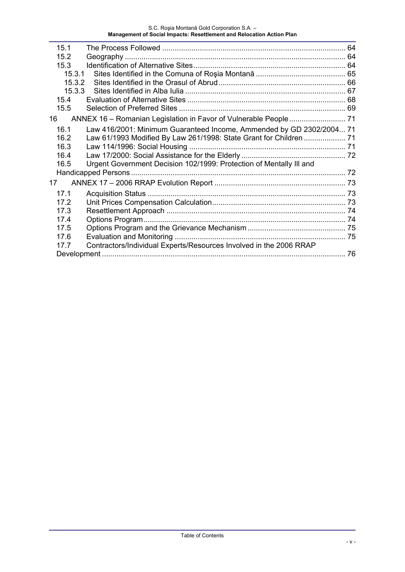| 15.1                                                                         |  |
|------------------------------------------------------------------------------|--|
| 15.2                                                                         |  |
| 15.3                                                                         |  |
| 15.3.1                                                                       |  |
| 15.3.2                                                                       |  |
| 15.3.3                                                                       |  |
| 15.4                                                                         |  |
| 15.5                                                                         |  |
| 16                                                                           |  |
| 16.1<br>Law 416/2001: Minimum Guaranteed Income, Ammended by GD 2302/2004 71 |  |
| Law 61/1993 Modified By Law 261/1998: State Grant for Children  71<br>16.2   |  |
| 16.3                                                                         |  |
| 16.4                                                                         |  |
| Urgent Government Decision 102/1999: Protection of Mentally III and<br>16.5  |  |
|                                                                              |  |
| 17                                                                           |  |
| 17.1                                                                         |  |
| 17.2                                                                         |  |
| 17.3                                                                         |  |
| 17.4                                                                         |  |
| 17.5                                                                         |  |
| 17.6                                                                         |  |
| Contractors/Individual Experts/Resources Involved in the 2006 RRAP<br>17.7   |  |
|                                                                              |  |
|                                                                              |  |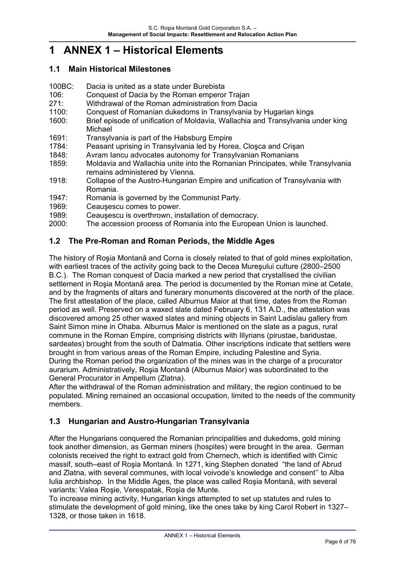# **1 ANNEX 1 – Historical Elements**

#### **1.1 Main Historical Milestones**

- 100BC: Dacia is united as a state under Burebista
- 106: Conquest of Dacia by the Roman emperor Trajan
- 271: Withdrawal of the Roman administration from Dacia
- 1100: Conquest of Romanian dukedoms in Transylvania by Hugarian kings
- 1600: Brief episode of unification of Moldavia, Wallachia and Transylvania under king Michael
- 1691: Transylvania is part of the Habsburg Empire
- 1784: Peasant uprising in Transylvania led by Horea, Cloşca and Crişan
- 1848: Avram Iancu advocates autonomy for Transylvanian Romanians
- 1859: Moldavia and Wallachia unite into the Romanian Principates, while Transylvania remains administered by Vienna.
- 1918: Collapse of the Austro-Hungarian Empire and unification of Transylvania with Romania.
- 1947: Romania is governed by the Communist Party.
- 1969: Ceauşescu comes to power.
- 1989: Ceauşescu is overthrown, installation of democracy.
- 2000: The accession process of Romania into the European Union is launched.

### **1.2 The Pre-Roman and Roman Periods, the Middle Ages**

The history of Roşia Montană and Corna is closely related to that of gold mines exploitation, with earliest traces of the activity going back to the Decea Mureşului culture (2800–2500 B.C.). The Roman conquest of Dacia marked a new period that crystallised the civilian settlement in Roşia Montană area. The period is documented by the Roman mine at Cetate, and by the fragments of altars and funerary monuments discovered at the north of the place. The first attestation of the place, called Alburnus Maior at that time, dates from the Roman period as well. Preserved on a waxed slate dated February 6, 131 A.D., the attestation was discovered among 25 other waxed slates and mining objects in Saint Ladislau gallery from Saint Simon mine in Ohaba. Alburnus Maior is mentioned on the slate as a pagus, rural commune in the Roman Empire, comprising districts with Illyrians (pirustae, baridustae, sardeates) brought from the south of Dalmatia. Other inscriptions indicate that settlers were brought in from various areas of the Roman Empire, including Palestine and Syria. During the Roman period the organization of the mines was in the charge of a procurator aurarium. Administratively, Roşia Montană (Alburnus Maior) was subordinated to the General Procurator in Ampellum (Zlatna).

After the withdrawal of the Roman administration and military, the region continued to be populated. Mining remained an occasional occupation, limited to the needs of the community members.

### **1.3 Hungarian and Austro-Hungarian Transylvania**

After the Hungarians conquered the Romanian principalities and dukedoms, gold mining took another dimension, as German miners (hospites) were brought in the area. German colonists received the right to extract gold from Chernech, which is identified with Cirnic massif, south–east of Roşia Montană. In 1271, king Stephen donated "the land of Abrud and Zlatna, with several communes, with local voivode's knowledge and consent'' to Alba Iulia archbishop. In the Middle Ages, the place was called Roşia Montană, with several variants: Valea Roşie, Verespatak, Roşia de Munte.

To increase mining activity, Hungarian kings attempted to set up statutes and rules to stimulate the development of gold mining, like the ones take by king Carol Robert in 1327– 1328, or those taken in 1618.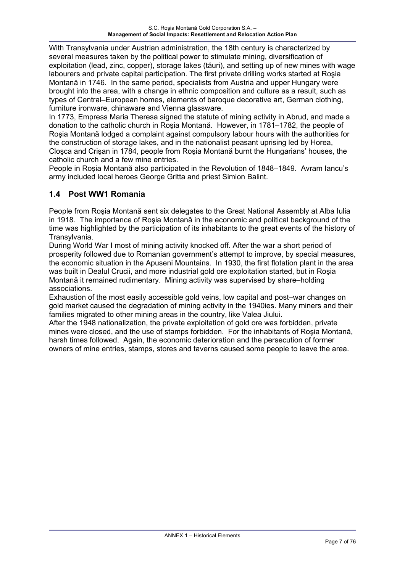With Transylvania under Austrian administration, the 18th century is characterized by several measures taken by the political power to stimulate mining, diversification of exploitation (lead, zinc, copper), storage lakes (tăuri), and setting up of new mines with wage labourers and private capital participation. The first private drilling works started at Roşia Montană in 1746. In the same period, specialists from Austria and upper Hungary were brought into the area, with a change in ethnic composition and culture as a result, such as types of Central–European homes, elements of baroque decorative art, German clothing, furniture ironware, chinaware and Vienna glassware.

In 1773, Empress Maria Theresa signed the statute of mining activity in Abrud, and made a donation to the catholic church in Roşia Montană. However, in 1781–1782, the people of Roşia Montană lodged a complaint against compulsory labour hours with the authorities for the construction of storage lakes, and in the nationalist peasant uprising led by Horea, Cloşca and Crişan in 1784, people from Roşia Montană burnt the Hungarians' houses, the catholic church and a few mine entries.

People in Roşia Montană also participated in the Revolution of 1848–1849. Avram Iancu's army included local heroes George Gritta and priest Simion Balint.

### **1.4 Post WW1 Romania**

People from Roşia Montană sent six delegates to the Great National Assembly at Alba Iulia in 1918. The importance of Roşia Montană in the economic and political background of the time was highlighted by the participation of its inhabitants to the great events of the history of Transylvania.

During World War I most of mining activity knocked off. After the war a short period of prosperity followed due to Romanian government's attempt to improve, by special measures, the economic situation in the Apuseni Mountains. In 1930, the first flotation plant in the area was built in Dealul Crucii, and more industrial gold ore exploitation started, but in Roşia Montană it remained rudimentary. Mining activity was supervised by share–holding associations.

Exhaustion of the most easily accessible gold veins, low capital and post–war changes on gold market caused the degradation of mining activity in the 1940ies. Many miners and their families migrated to other mining areas in the country, like Valea Jiului.

After the 1948 nationalization, the private exploitation of gold ore was forbidden, private mines were closed, and the use of stamps forbidden. For the inhabitants of Roşia Montană, harsh times followed. Again, the economic deterioration and the persecution of former owners of mine entries, stamps, stores and taverns caused some people to leave the area.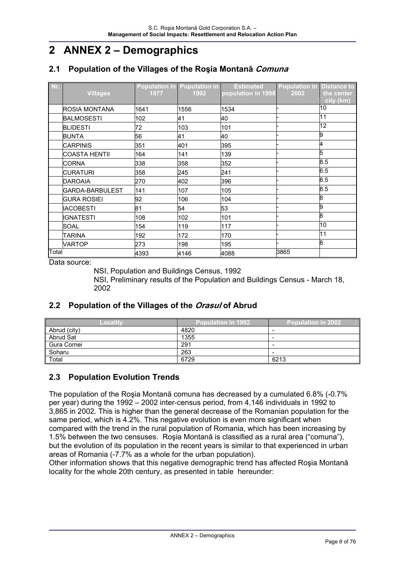# **2 ANNEX 2 – Demographics**

# **2.1 Population of the Villages of the Roşia Montană Comuna**

| Nr.   | <b>Villages</b>      | 1977 | Population in Population in<br>1992 | <b>Estimated</b><br>population in 1998 | <b>Population in Distance to</b><br>2002 | the center<br>city (km) |
|-------|----------------------|------|-------------------------------------|----------------------------------------|------------------------------------------|-------------------------|
|       | ROSIA MONTANA        | 1641 | 1556                                | 1534                                   |                                          | 10                      |
|       | <b>BALMOSESTI</b>    | 102  | 41                                  | 40                                     |                                          | 11                      |
|       | <b>BLIDESTI</b>      | 72   | 103                                 | 101                                    |                                          | 12                      |
|       | BUNTA                | 56   | 41                                  | 40                                     |                                          | 9                       |
|       | <b>CARPINIS</b>      | 351  | 401                                 | 395                                    |                                          | 4                       |
|       | <b>COASTA HENTII</b> | 164  | 141                                 | 139                                    |                                          | 5                       |
|       | <b>CORNA</b>         | 338  | 358                                 | 352                                    |                                          | 8.5                     |
|       | <b>CURATURI</b>      | 358  | 245                                 | 241                                    |                                          | 6.5                     |
|       | <b>DAROAIA</b>       | 270  | 402                                 | 396                                    |                                          | 8.5                     |
|       | IGARDA-BARBULEST     | 141  | 107                                 | 105                                    |                                          | 8.5                     |
|       | <b>GURA ROSIEI</b>   | 92   | 106                                 | 104                                    |                                          | 8                       |
|       | <b>IACOBESTI</b>     | 81   | 54                                  | 53                                     |                                          | 9                       |
|       | IIGNATESTI           | 108  | 102                                 | 101                                    |                                          | 8                       |
|       | <b>SOAL</b>          | 154  | 119                                 | 117                                    |                                          | 10                      |
|       | <b>TARINA</b>        | 192  | 172                                 | 170                                    |                                          | 11                      |
|       | VARTOP               | 273  | 198                                 | 195                                    |                                          | 8                       |
| Total |                      | 4393 | 4146                                | 4088                                   | 3865                                     |                         |

Data source:

NSI, Population and Buildings Census, 1992

NSI, Preliminary results of the Population and Buildings Census - March 18, 2002

# **2.2 Population of the Villages of the Orasul of Abrud**

| Localitv     | Population in 1992 <sup>'</sup> | <b>Population in 2002</b> |
|--------------|---------------------------------|---------------------------|
| Abrud (city) | 4820                            |                           |
| Abrud Sat    | 1355                            |                           |
| Gura Cornei  | 291                             |                           |
| Soharu       | 263                             |                           |
| Total        | 6729                            | 6213                      |

### **2.3 Population Evolution Trends**

The population of the Roşia Montană comuna has decreased by a cumulated 6.8% (-0.7% per year) during the 1992 – 2002 inter-census period, from 4,146 individuals in 1992 to 3,865 in 2002. This is higher than the general decrease of the Romanian population for the same period, which is 4.2%. This negative evolution is even more significant when compared with the trend in the rural population of Romania, which has been increasing by 1.5% between the two censuses. Roşia Montană is classified as a rural area ("comuna"), but the evolution of its population in the recent years is similar to that experienced in urban areas of Romania (-7.7% as a whole for the urban population).

Other information shows that this negative demographic trend has affected Roşia Montană locality for the whole 20th century, as presented in table hereunder: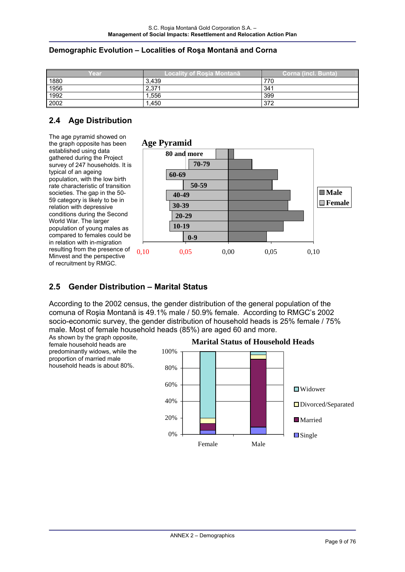#### **Demographic Evolution – Localities of Roşa Montană and Corna**

| Year                | Localitv of Rosia Montană | Corna (incl. Bunta) |
|---------------------|---------------------------|---------------------|
| $\frac{1880}{1956}$ | 3.439                     | 770                 |
|                     | 2,371                     | 341                 |
| 1992                | 1,556                     | 399                 |
| 2002                | l.450                     | 372                 |

# **2.4 Age Distribution**

The age pyramid showed on the graph opposite has been established using data gathered during the Project survey of 247 households. It is typical of an ageing population, with the low birth rate characteristic of transition societies. The gap in the 50-59 category is likely to be in relation with depressive conditions during the Second World War. The larger population of young males as compared to females could be in relation with in-migration resulting from the presence of Minvest and the perspective of recruitment by RMGC.



#### **2.5 Gender Distribution – Marital Status**

According to the 2002 census, the gender distribution of the general population of the comuna of Roşia Montană is 49.1% male / 50.9% female. According to RMGC's 2002 socio-economic survey, the gender distribution of household heads is 25% female / 75% male. Most of female household heads (85%) are aged 60 and more.

As shown by the graph opposite, female household heads are predominantly widows, while the proportion of married male household heads is about 80%.

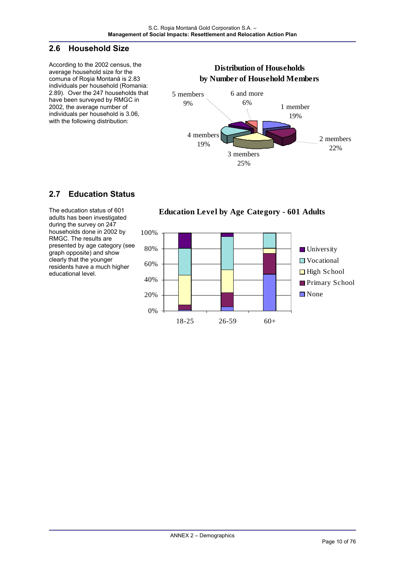#### **2.6 Household Size**

According to the 2002 census, the average household size for the comuna of Roşia Montană is 2.83 individuals per household (Romania: 2.89). Over the 247 households that have been surveyed by RMGC in 2002, the average number of individuals per household is 3.06, with the following distribution:

#### **Distribution of Households by Number of Household Members** 1 member 19% 3 members 25% 4 members 19% 2 members 22% 6 and more 6% 5 members 9%

# **2.7 Education Status**

The education status of 601 adults has been investigated during the survey on 247 households done in 2002 by RMGC. The results are presented by age category (see graph opposite) and show clearly that the younger residents have a much higher educational level.

**Education Level by Age Category - 601 Adults**

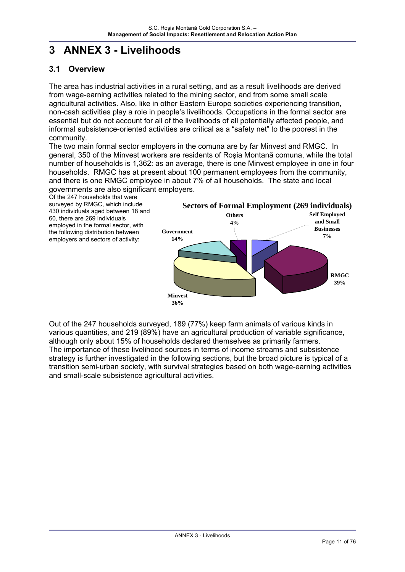# **3 ANNEX 3 - Livelihoods**

# **3.1 Overview**

The area has industrial activities in a rural setting, and as a result livelihoods are derived from wage-earning activities related to the mining sector, and from some small scale agricultural activities. Also, like in other Eastern Europe societies experiencing transition, non-cash activities play a role in people's livelihoods. Occupations in the formal sector are essential but do not account for all of the livelihoods of all potentially affected people, and informal subsistence-oriented activities are critical as a "safety net" to the poorest in the community.

The two main formal sector employers in the comuna are by far Minvest and RMGC. In general, 350 of the Minvest workers are residents of Roşia Montană comuna, while the total number of households is 1,362: as an average, there is one Minvest employee in one in four households. RMGC has at present about 100 permanent employees from the community, and there is one RMGC employee in about 7% of all households. The state and local governments are also significant employers.

Of the 247 households that were surveyed by RMGC, which include 430 individuals aged between 18 and 60, there are 269 individuals employed in the formal sector, with the following distribution between employers and sectors of activity:



Out of the 247 households surveyed, 189 (77%) keep farm animals of various kinds in various quantities, and 219 (89%) have an agricultural production of variable significance, although only about 15% of households declared themselves as primarily farmers. The importance of these livelihood sources in terms of income streams and subsistence strategy is further investigated in the following sections, but the broad picture is typical of a transition semi-urban society, with survival strategies based on both wage-earning activities and small-scale subsistence agricultural activities.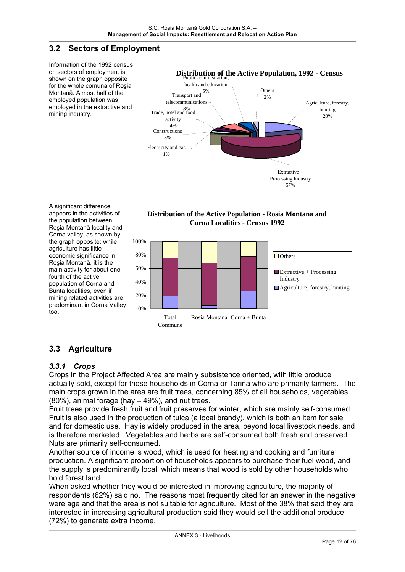### **3.2 Sectors of Employment**

Information of the 1992 census on sectors of employment is shown on the graph opposite for the whole comuna of Roşia Montană. Almost half of the employed population was employed in the extractive and mining industry.







#### appears in the activities of the population between Roşia Montană locality and Corna valley, as shown by the graph opposite: while agriculture has little economic significance in Roşia Montană, it is the main activity for about one fourth of the active population of Corna and Bunta localities, even if mining related activities are predominant in Corna Valley too.

A significant difference

# **3.3 Agriculture**

#### *3.3.1 Crops*

Crops in the Project Affected Area are mainly subsistence oriented, with little produce actually sold, except for those households in Corna or Tarina who are primarily farmers. The main crops grown in the area are fruit trees, concerning 85% of all households, vegetables (80%), animal forage (hay – 49%), and nut trees.

Fruit trees provide fresh fruit and fruit preserves for winter, which are mainly self-consumed. Fruit is also used in the production of tuica (a local brandy), which is both an item for sale and for domestic use. Hay is widely produced in the area, beyond local livestock needs, and is therefore marketed. Vegetables and herbs are self-consumed both fresh and preserved. Nuts are primarily self-consumed.

Another source of income is wood, which is used for heating and cooking and furniture production. A significant proportion of households appears to purchase their fuel wood, and the supply is predominantly local, which means that wood is sold by other households who hold forest land.

When asked whether they would be interested in improving agriculture, the majority of respondents (62%) said no. The reasons most frequently cited for an answer in the negative were age and that the area is not suitable for agriculture. Most of the 38% that said they are interested in increasing agricultural production said they would sell the additional produce (72%) to generate extra income.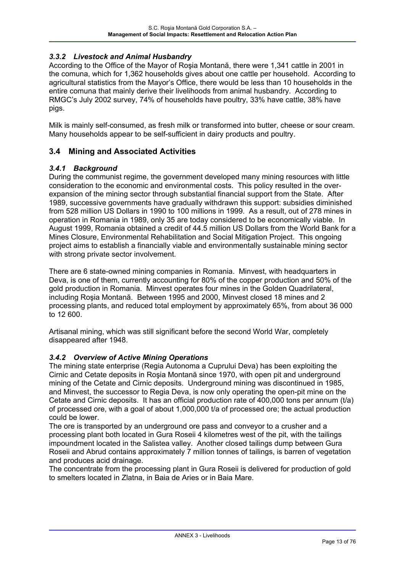#### *3.3.2 Livestock and Animal Husbandry*

According to the Office of the Mayor of Roşia Montană, there were 1,341 cattle in 2001 in the comuna, which for 1,362 households gives about one cattle per household. According to agricultural statistics from the Mayor's Office, there would be less than 10 households in the entire comuna that mainly derive their livelihoods from animal husbandry. According to RMGC's July 2002 survey, 74% of households have poultry, 33% have cattle, 38% have pigs.

Milk is mainly self-consumed, as fresh milk or transformed into butter, cheese or sour cream. Many households appear to be self-sufficient in dairy products and poultry.

#### **3.4 Mining and Associated Activities**

#### *3.4.1 Background*

During the communist regime, the government developed many mining resources with little consideration to the economic and environmental costs. This policy resulted in the overexpansion of the mining sector through substantial financial support from the State. After 1989, successive governments have gradually withdrawn this support: subsidies diminished from 528 million US Dollars in 1990 to 100 millions in 1999. As a result, out of 278 mines in operation in Romania in 1989, only 35 are today considered to be economically viable. In August 1999, Romania obtained a credit of 44.5 million US Dollars from the World Bank for a Mines Closure, Environmental Rehabilitation and Social Mitigation Project. This ongoing project aims to establish a financially viable and environmentally sustainable mining sector with strong private sector involvement.

There are 6 state-owned mining companies in Romania. Minvest, with headquarters in Deva, is one of them, currently accounting for 80% of the copper production and 50% of the gold production in Romania. Minvest operates four mines in the Golden Quadrilateral, including Roşia Montană. Between 1995 and 2000, Minvest closed 18 mines and 2 processing plants, and reduced total employment by approximately 65%, from about 36 000 to 12 600.

Artisanal mining, which was still significant before the second World War, completely disappeared after 1948.

#### *3.4.2 Overview of Active Mining Operations*

The mining state enterprise (Regia Autonoma a Cuprului Deva) has been exploiting the Cirnic and Cetate deposits in Roşia Montană since 1970, with open pit and underground mining of the Cetate and Cirnic deposits. Underground mining was discontinued in 1985, and Minvest, the successor to Regia Deva, is now only operating the open-pit mine on the Cetate and Cirnic deposits. It has an official production rate of 400,000 tons per annum (t/a) of processed ore, with a goal of about 1,000,000 t/a of processed ore; the actual production could be lower.

The ore is transported by an underground ore pass and conveyor to a crusher and a processing plant both located in Gura Roseii 4 kilometres west of the pit, with the tailings impoundment located in the Salistea valley. Another closed tailings dump between Gura Roseii and Abrud contains approximately 7 million tonnes of tailings, is barren of vegetation and produces acid drainage.

The concentrate from the processing plant in Gura Roseii is delivered for production of gold to smelters located in Zlatna, in Baia de Aries or in Baia Mare.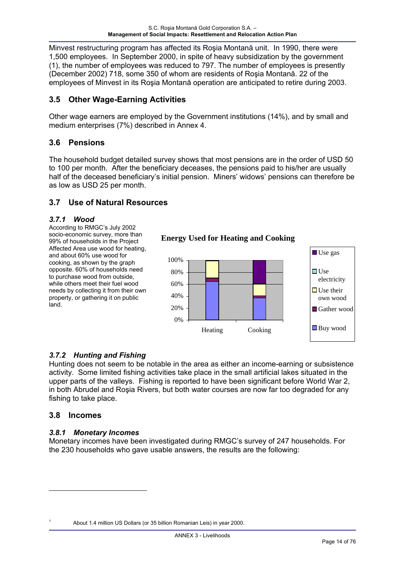Minvest restructuring program has affected its Roşia Montană unit. In 1990, there were 1,500 employees. In September 2000, in spite of heavy subsidization by the government (1), the number of employees was reduced to 797. The number of employees is presently (December 2002) 718, some 350 of whom are residents of Roşia Montană. 22 of the employees of Minvest in its Roşia Montană operation are anticipated to retire during 2003.

# **3.5 Other Wage-Earning Activities**

Other wage earners are employed by the Government institutions (14%), and by small and medium enterprises (7%) described in Annex 4.

### **3.6 Pensions**

The household budget detailed survey shows that most pensions are in the order of USD 50 to 100 per month. After the beneficiary deceases, the pensions paid to his/her are usually half of the deceased beneficiary's initial pension. Miners' widows' pensions can therefore be as low as USD 25 per month.

### **3.7 Use of Natural Resources**

#### *3.7.1 Wood*

According to RMGC's July 2002 socio-economic survey, more than 99% of households in the Project Affected Area use wood for heating, and about 60% use wood for cooking, as shown by the graph opposite. 60% of households need to purchase wood from outside, while others meet their fuel wood needs by collecting it from their own property, or gathering it on public land.



**Energy Used for Heating and Cooking**

### *3.7.2 Hunting and Fishing*

Hunting does not seem to be notable in the area as either an income-earning or subsistence activity. Some limited fishing activities take place in the small artificial lakes situated in the upper parts of the valleys. Fishing is reported to have been significant before World War 2, in both Abrudel and Roşia Rivers, but both water courses are now far too degraded for any fishing to take place.

### **3.8 Incomes**

 $\overline{a}$ 

1

### *3.8.1 Monetary Incomes*

Monetary incomes have been investigated during RMGC's survey of 247 households. For the 230 households who gave usable answers, the results are the following:

About 1.4 million US Dollars (or 35 billion Romanian Leis) in year 2000.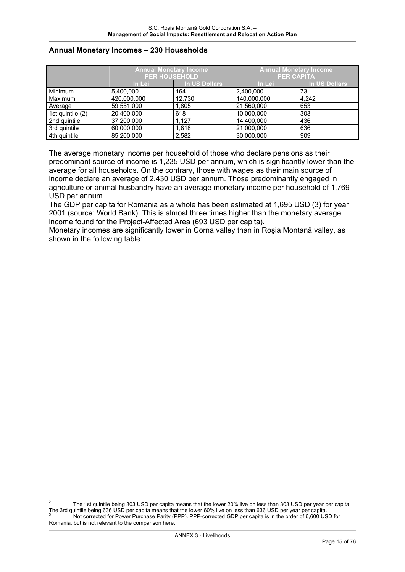#### **Annual Monetary Incomes – 230 Households**

|                  | <b>Annual Monetary Income</b><br><b>PER HOUSEHOLD</b> |                      | <b>Annual Monetary Income</b><br><b>PER CAPITA</b> |               |  |
|------------------|-------------------------------------------------------|----------------------|----------------------------------------------------|---------------|--|
|                  | In Lei                                                | <b>In US Dollars</b> | In Lei                                             | In US Dollars |  |
| Minimum          | 5,400,000                                             | 164                  | 2,400,000                                          | 73            |  |
| Maximum          | 420,000,000                                           | 12,730               | 140,000,000                                        | 4,242         |  |
| Average          | 59,551,000                                            | 1,805                | 21,560,000                                         | 653           |  |
| 1st quintile (2) | 20,400,000                                            | 618                  | 10,000,000                                         | 303           |  |
| 2nd quintile     | 37,200,000                                            | 1,127                | 14,400,000                                         | 436           |  |
| 3rd quintile     | 60,000,000                                            | 1,818                | 21,000,000                                         | 636           |  |
| 4th quintile     | 85,200,000                                            | 2,582                | 30,000,000                                         | 909           |  |

The average monetary income per household of those who declare pensions as their predominant source of income is 1,235 USD per annum, which is significantly lower than the average for all households. On the contrary, those with wages as their main source of income declare an average of 2,430 USD per annum. Those predominantly engaged in agriculture or animal husbandry have an average monetary income per household of 1,769 USD per annum.

The GDP per capita for Romania as a whole has been estimated at 1,695 USD (3) for year 2001 (source: World Bank). This is almost three times higher than the monetary average income found for the Project-Affected Area (693 USD per capita).

Monetary incomes are significantly lower in Corna valley than in Roşia Montană valley, as shown in the following table:

-

<sup>2</sup> The 1st quintile being 303 USD per capita means that the lower 20% live on less than 303 USD per year per capita. The 3rd quintile being 636 USD per capita means that the lower 60% live on less than 636 USD per year per capita. 3 Not corrected for Power Purchase Parity (PPP). PPP-corrected GDP per capita is in the order of 6,600 USD for Romania, but is not relevant to the comparison here.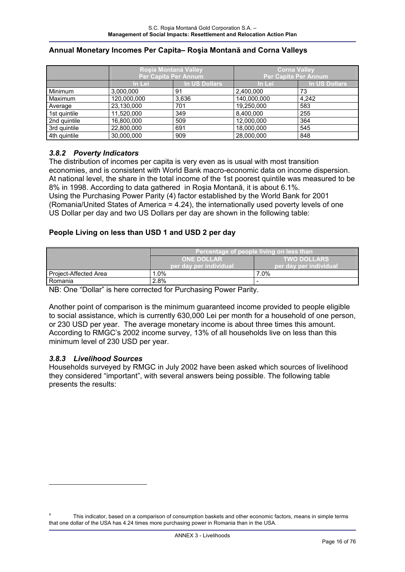|              | <b>Roşia Montană Valley</b><br>Per Capita Per Annum |               | <b>Corna Valley</b><br>Per Capita Per Annum |               |  |
|--------------|-----------------------------------------------------|---------------|---------------------------------------------|---------------|--|
|              | In Lei                                              | In US Dollars | In Lei                                      | In US Dollars |  |
| Minimum      | 3,000,000                                           | 91            | 2,400,000                                   | 73            |  |
| Maximum      | 120,000,000                                         | 3,636         | 140,000,000                                 | 4.242         |  |
| Average      | 23,130,000                                          | 701           | 19,250,000                                  | 583           |  |
| 1st quintile | 11,520,000                                          | 349           | 8,400,000                                   | 255           |  |
| 2nd quintile | 16,800,000                                          | 509           | 12,000,000                                  | 364           |  |
| 3rd quintile | 22,800,000                                          | 691           | 18,000,000                                  | 545           |  |
| 4th quintile | 30,000,000                                          | 909           | 28,000,000                                  | 848           |  |

#### **Annual Monetary Incomes Per Capita– Roşia Montană and Corna Valleys**

#### *3.8.2 Poverty Indicators*

The distribution of incomes per capita is very even as is usual with most transition economies, and is consistent with World Bank macro-economic data on income dispersion. At national level, the share in the total income of the 1st poorest quintile was measured to be 8% in 1998. According to data gathered in Roşia Montană, it is about 6.1%. Using the Purchasing Power Parity (4) factor established by the World Bank for 2001 (Romania/United States of America = 4.24), the internationally used poverty levels of one US Dollar per day and two US Dollars per day are shown in the following table:

#### **People Living on less than USD 1 and USD 2 per day**

|                       | Percentage of people living on less than |                        |  |  |  |
|-----------------------|------------------------------------------|------------------------|--|--|--|
|                       | <b>ONE DOLLAR</b>                        | <b>TWO DOLLARS</b>     |  |  |  |
|                       | ber dav per individual <b>b</b>          | per day per individual |  |  |  |
| Project-Affected Area | $.0\%$                                   | 7.0%                   |  |  |  |
| Romania               | 2.8%                                     | -                      |  |  |  |

NB: One "Dollar" is here corrected for Purchasing Power Parity.

Another point of comparison is the minimum guaranteed income provided to people eligible to social assistance, which is currently 630,000 Lei per month for a household of one person, or 230 USD per year. The average monetary income is about three times this amount. According to RMGC's 2002 income survey, 13% of all households live on less than this minimum level of 230 USD per year.

#### *3.8.3 Livelihood Sources*

1

Households surveyed by RMGC in July 2002 have been asked which sources of livelihood they considered "important", with several answers being possible. The following table presents the results:

<sup>4</sup> This indicator, based on a comparison of consumption baskets and other economic factors, means in simple terms that one dollar of the USA has 4.24 times more purchasing power in Romania than in the USA.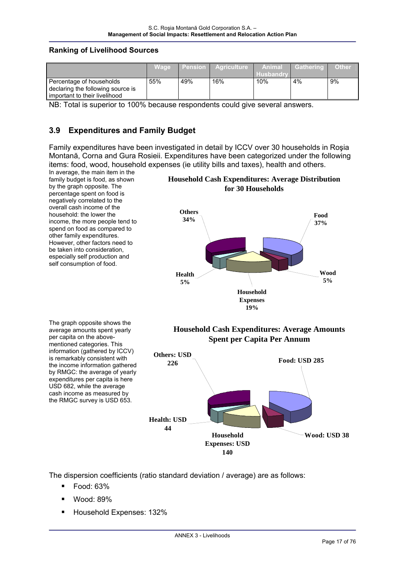#### **Ranking of Livelihood Sources**

|                                   | <b>Wage</b> |     | l Pension   Agriculture | Animal      | <b>Cathering</b> | <b>Other</b> |
|-----------------------------------|-------------|-----|-------------------------|-------------|------------------|--------------|
|                                   |             |     |                         | l Husbandrv |                  |              |
| Percentage of households          | 55%         | 49% | 16%                     | 10%         | 4%               | 9%           |
| declaring the following source is |             |     |                         |             |                  |              |
| l important to their livelihood   |             |     |                         |             |                  |              |

NB: Total is superior to 100% because respondents could give several answers.

#### **3.9 Expenditures and Family Budget**

Family expenditures have been investigated in detail by ICCV over 30 households in Roşia Montană, Corna and Gura Rosieii. Expenditures have been categorized under the following items: food, wood, household expenses (ie utility bills and taxes), health and others.



The dispersion coefficients (ratio standard deviation / average) are as follows:

- Food: 63%
- Wood: 89%
- Household Expenses: 132%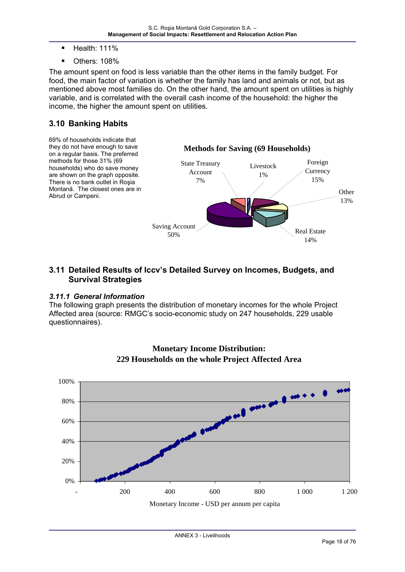- Health: 111%
- Others: 108%

The amount spent on food is less variable than the other items in the family budget. For food, the main factor of variation is whether the family has land and animals or not, but as mentioned above most families do. On the other hand, the amount spent on utilities is highly variable, and is correlated with the overall cash income of the household: the higher the income, the higher the amount spent on utilities.

### **3.10 Banking Habits**



#### **3.11 Detailed Results of Iccv's Detailed Survey on Incomes, Budgets, and Survival Strategies**

#### *3.11.1 General Information*

The following graph presents the distribution of monetary incomes for the whole Project Affected area (source: RMGC's socio-economic study on 247 households, 229 usable questionnaires).



# **Monetary Income Distribution: 229 Households on the whole Project Affected Area**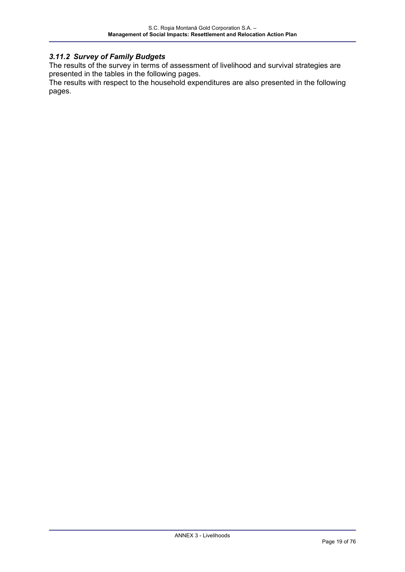3.11.2 Survey of Family Budgets<br>The results of the survey in terms of assessment of livelihood and survival strategies are presented in the tables in the following pages.

The results with respect to the household expenditures are also presented in the following pages.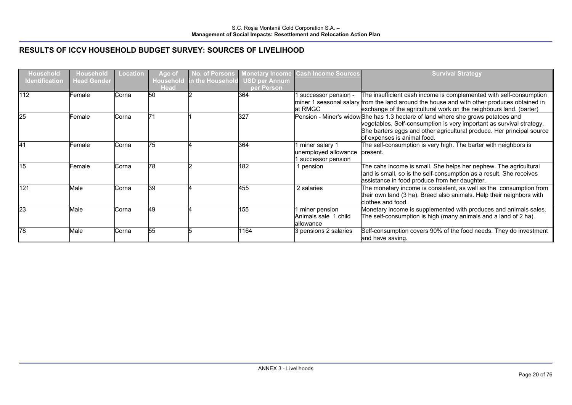| <b>Household</b>      | Household          | <b>Location</b> | Age of                          | No. of Persons   | <b>Monetary Income</b>      | <b>Cash Income Sources</b> | <b>Survival Strategy</b>                                                                             |
|-----------------------|--------------------|-----------------|---------------------------------|------------------|-----------------------------|----------------------------|------------------------------------------------------------------------------------------------------|
| <b>Identification</b> | <b>Head Gender</b> |                 | <b>Household</b><br><b>Head</b> | in the Household | USD per Annum<br>per Person |                            |                                                                                                      |
| 112                   | Female             | Corna           | 50                              |                  | 364                         |                            | The insufficient cash income is complemented with self-consumption                                   |
|                       |                    |                 |                                 |                  |                             | successor pension -        | miner 1 seasonal salary from the land around the house and with other produces obtained in           |
|                       |                    |                 |                                 |                  |                             | at RMGC                    | exchange of the agricultural work on the neighbours land. (barter)                                   |
| 25                    | Female:            | Corna           | 71                              |                  | 327                         |                            | Pension - Miner's widow She has 1.3 hectare of land where she grows potatoes and                     |
|                       |                    |                 |                                 |                  |                             |                            |                                                                                                      |
|                       |                    |                 |                                 |                  |                             |                            | vegetables. Self-consumption is very important as survival strategy.                                 |
|                       |                    |                 |                                 |                  |                             |                            | She barters eggs and other agricultural produce. Her principal source<br>of expenses is animal food. |
| <b>41</b>             |                    |                 | 75                              |                  | 364                         |                            |                                                                                                      |
|                       | Female             | Corna           |                                 |                  |                             | 1 miner salary 1           | The self-consumption is very high. The barter with neighbors is<br>present.                          |
|                       |                    |                 |                                 |                  |                             | unemployed allowance       |                                                                                                      |
| 15                    |                    |                 | 78                              |                  |                             | 1 successor pension        |                                                                                                      |
|                       | Female             | Corna           |                                 |                  | 182                         | pension                    | The cahs income is small. She helps her nephew. The agricultural                                     |
|                       |                    |                 |                                 |                  |                             |                            | land is small, so is the self-consumption as a result. She receives                                  |
|                       |                    |                 |                                 |                  |                             |                            | assistance in food produce from her daughter.                                                        |
| 121                   | Male               | Corna           | 39                              |                  | 455                         | 2 salaries                 | The monetary income is consistent, as well as the consumption from                                   |
|                       |                    |                 |                                 |                  |                             |                            | their own land (3 ha). Breed also animals. Help their neighbors with                                 |
|                       |                    |                 |                                 |                  |                             |                            | clothes and food.                                                                                    |
| 23                    | Male               | Corna           | 49                              |                  | 155                         | I miner pension            | Monetary income is supplemented with produces and animals sales.                                     |
|                       |                    |                 |                                 |                  |                             | Animals sale 1 child       | The self-consumption is high (many animals and a land of 2 ha).                                      |
|                       |                    |                 |                                 |                  |                             | lallowance                 |                                                                                                      |
| 78                    | Male               | Corna           | 55                              |                  | 1164                        | 3 pensions 2 salaries      | Self-consumption covers 90% of the food needs. They do investment                                    |
|                       |                    |                 |                                 |                  |                             |                            | and have saving.                                                                                     |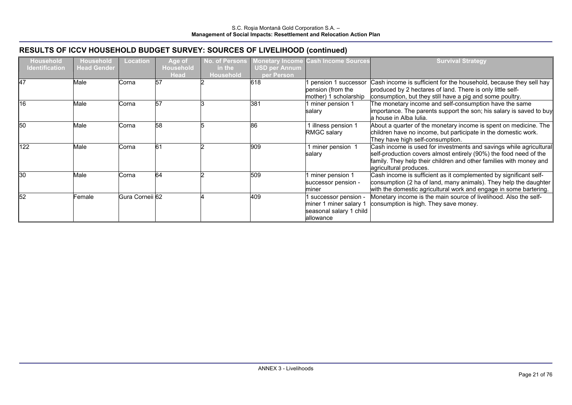| <b>Household</b><br>Identification | <b>Household</b><br><b>Head Gender</b> | <b>Location</b> | Age of<br><b>Household</b> | <b>No. of Persons</b><br>in the | <b>Monetary Income</b><br><b>USD per Annum</b> | <b>Cash Income Sources</b>                                                            | <b>Survival Strategy</b>                                                                                                                                                                                                                |
|------------------------------------|----------------------------------------|-----------------|----------------------------|---------------------------------|------------------------------------------------|---------------------------------------------------------------------------------------|-----------------------------------------------------------------------------------------------------------------------------------------------------------------------------------------------------------------------------------------|
| 47                                 | Male                                   | Corna           | <b>Head</b><br>57          | <b>Household</b>                | per Person<br>618                              | pension 1 successor<br>pension (from the<br>mother) 1 scholarship                     | Cash income is sufficient for the household, because they sell hay<br>produced by 2 hectares of land. There is only little self-<br>consumption, but they still have a pig and some poultry.                                            |
| 16                                 | Male                                   | Corna           | 57                         |                                 | 381                                            | 1 miner pension 1<br>salary                                                           | The monetary income and self-consumption have the same<br>importance. The parents support the son; his salary is saved to buy<br>la house in Alba Iulia.                                                                                |
| 50                                 | Male                                   | Corna           | 58                         |                                 | 86                                             | illness pension 1<br><b>RMGC salary</b>                                               | About a quarter of the monetary income is spent on medicine. The<br>children have no income, but participate in the domestic work.<br>They have high self-consumption.                                                                  |
| 122                                | Male                                   | Corna           | 61                         |                                 | 909                                            | miner pension 1<br>salary                                                             | Cash income is used for investments and savings while agricultural<br>self-production covers almost entirely (90%) the food need of the<br>family. They help their children and other families with money and<br>agricultural produces. |
| 30                                 | Male                                   | Corna           | 64                         |                                 | 509                                            | miner pension 1<br>successor pension -<br>miner                                       | Cash income is sufficient as it complemented by significant self-<br>consumption (2 ha of land, many animals). They help the daughter<br>with the domestic agricultural work and engage in some bartering.                              |
| 52                                 | Female                                 | Gura Corneii 62 |                            |                                 | 409                                            | successor pension -<br>miner 1 miner salary 1<br>seasonal salary 1 child<br>allowance | Monetary income is the main source of livelihood. Also the self-<br>consumption is high. They save money.                                                                                                                               |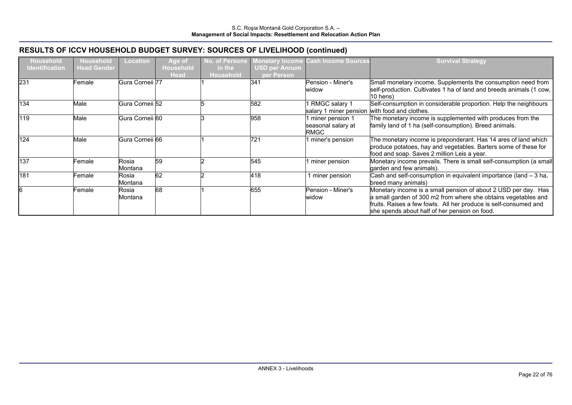| <b>Household</b><br><b>Identification</b> | <b>Household</b><br><b>Head Gender</b> | Location         | Age of<br><b>Household</b><br><b>Head</b> | No. of Persons<br>in the<br>Household | Monetary Income<br><b>USD per Annum</b><br>per Person | <b>Cash Income Sources</b>                                       | <b>Survival Strategy</b>                                                                                                                                                                                                                              |
|-------------------------------------------|----------------------------------------|------------------|-------------------------------------------|---------------------------------------|-------------------------------------------------------|------------------------------------------------------------------|-------------------------------------------------------------------------------------------------------------------------------------------------------------------------------------------------------------------------------------------------------|
| 231                                       | Female                                 | Gura Corneii 77  |                                           |                                       | 341                                                   | Pension - Miner's<br>widow                                       | Small monetary income. Supplements the consumption need from<br>self-production. Cultivates 1 ha of land and breeds animals (1 cow,<br>10 hens)                                                                                                       |
| 134                                       | Male                                   | Gura Corneii 52  |                                           |                                       | 582                                                   | I RMGC salary 1<br>salary 1 miner pension with food and clothes. | Self-consumption in considerable proportion. Help the neighbours                                                                                                                                                                                      |
| 119                                       | Male                                   | Gura Corneii 60  |                                           |                                       | 958                                                   | 1 miner pension 1<br>seasonal salary at<br>RMGC                  | The monetary income is supplemented with produces from the<br>family land of 1 ha (self-consumption). Breed animals.                                                                                                                                  |
| 124                                       | Male                                   | Gura Corneii 66  |                                           |                                       | 721                                                   | 1 miner's pension                                                | The monetary income is preponderant. Has 14 ares of land which<br>produce potatoes, hay and vegetables. Barters some of these for<br>food and soap. Saves 2 million Leis a year.                                                                      |
| 137                                       | Female:                                | Rosia<br>Montana | 59                                        |                                       | 545                                                   | I miner pension                                                  | Monetary income prevails. There is small self-consumption (a small<br>garden and few animals).                                                                                                                                                        |
| 181                                       | Female :                               | Rosia<br>Montana | 62                                        |                                       | 418                                                   | miner pension                                                    | Cash and self-consumption in equivalent importance (land - 3 ha,<br>breed many animals)                                                                                                                                                               |
|                                           | Female                                 | Rosia<br>Montana | 68                                        |                                       | 655                                                   | Pension - Miner's<br>widow                                       | Monetary income is a small pension of about 2 USD per day. Has<br>a small garden of 300 m2 from where she obtains vegetables and<br>fruits. Raises a few fowls. All her produce is self-consumed and<br>she spends about half of her pension on food. |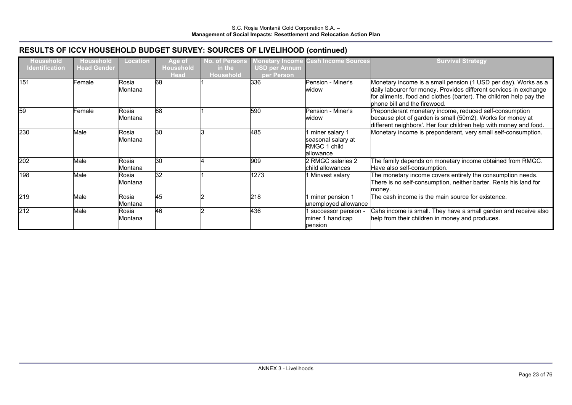| <b>Household</b>      | <b>Household</b><br><b>Head Gender</b> | <b>Location</b>  | Age of<br><b>Household</b> | <b>No. of Persons</b>      | <b>Monetary Income</b>             | <b>Cash Income Sources</b>                                          | <b>Survival Strategy</b>                                                                                                                                                                                                                  |
|-----------------------|----------------------------------------|------------------|----------------------------|----------------------------|------------------------------------|---------------------------------------------------------------------|-------------------------------------------------------------------------------------------------------------------------------------------------------------------------------------------------------------------------------------------|
| <b>Identification</b> |                                        |                  | <b>Head</b>                | in the<br><b>Household</b> | <b>USD per Annum</b><br>per Person |                                                                     |                                                                                                                                                                                                                                           |
| 151                   | Female                                 | Rosia<br>Montana | 68                         |                            | 336                                | Pension - Miner's<br>widow                                          | Monetary income is a small pension (1 USD per day). Works as a<br>daily labourer for money. Provides different services in exchange<br>for aliments, food and clothes (barter). The children help pay the<br>phone bill and the firewood. |
| 59                    | Female                                 | Rosia<br>Montana | 68                         |                            | 590                                | Pension - Miner's<br>widow                                          | Preponderant monetary income, reduced self-consumption<br>because plot of garden is small (50m2). Works for money at<br>different neighbors'. Her four children help with money and food.                                                 |
| 230                   | Male                                   | Rosia<br>Montana | 30                         |                            | 485                                | 1 miner salary 1<br>seasonal salary at<br>RMGC 1 child<br>allowance | Monetary income is preponderant, very small self-consumption.                                                                                                                                                                             |
| 202                   | Male                                   | Rosia<br>Montana | 30                         |                            | 909                                | 2 RMGC salaries 2<br>child allowances                               | The family depends on monetary income obtained from RMGC.<br>Have also self-consumption.                                                                                                                                                  |
| 198                   | Male                                   | Rosia<br>Montana | 32                         |                            | 1273                               | 1 Minvest salary                                                    | The monetary income covers entirely the consumption needs.<br>There is no self-consumption, neither barter. Rents his land for<br>money.                                                                                                  |
| 219                   | Male                                   | Rosia<br>Montana | 45                         |                            | 218                                | 1 miner pension 1<br>unemployed allowance                           | The cash income is the main source for existence.                                                                                                                                                                                         |
| 212                   | Male                                   | Rosia<br>Montana | 46                         |                            | 436                                | successor pension -<br>miner 1 handicap<br>pension                  | Cahs income is small. They have a small garden and receive also<br>help from their children in money and produces.                                                                                                                        |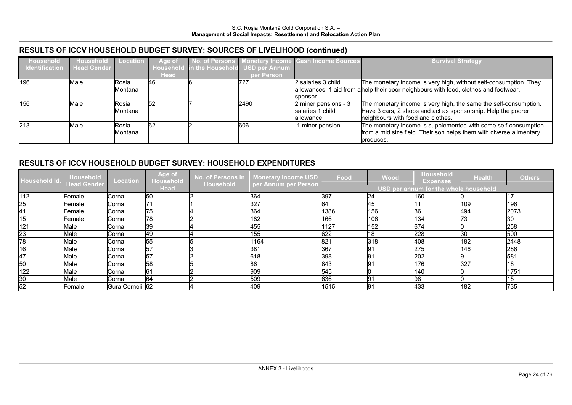| <b>Household</b>      | Household   | Location | Age of      |                                          | No. of Persons   Monetary Income   Cash Income Sources | <b>Survival Strategy</b>                                                            |
|-----------------------|-------------|----------|-------------|------------------------------------------|--------------------------------------------------------|-------------------------------------------------------------------------------------|
| <b>Identification</b> | Head Gender |          |             | Household in the Household USD per Annum |                                                        |                                                                                     |
|                       |             |          | <b>Head</b> | per Person                               |                                                        |                                                                                     |
| 196                   | Male        | Rosia    | <b>46</b>   | 727                                      | 2 salaries 3 child                                     | The monetary income is very high, without self-consumption. They                    |
|                       |             | Montana  |             |                                          |                                                        | allowances 1 aid from a help their poor neighbours with food, clothes and footwear. |
|                       |             |          |             |                                          | sponsor                                                |                                                                                     |
| 156                   | Male        | Rosia    | 52          | 2490                                     | 2 miner pensions - 3                                   | The monetary income is very high, the same the self-consumption.                    |
|                       |             | Montana  |             |                                          | salaries 1 child                                       | Have 3 cars, 2 shops and act as sponsorship. Help the poorer                        |
|                       |             |          |             |                                          | lallowance                                             | neighbours with food and clothes.                                                   |
| 213                   | Male        | Rosia    | 62          | 606                                      | 1 miner pension                                        | The monetary income is supplemented with some self-consumption                      |
|                       |             | Montana  |             |                                          |                                                        | from a mid size field. Their son helps them with diverse alimentary                 |
|                       |             |          |             |                                          |                                                        | produces.                                                                           |

#### RESULTS OF ICCV HOUSEHOLD BUDGET SURVEY: HOUSEHOLD EXPENDITURES

| Household Id. Household<br>Head Gender |         | Location        | Age of<br>Household | No. of Persons in<br><b>Household</b> | <b>Monetary Income USD</b><br>per Annum per Person | Food | Wood | <b>Household</b><br><b>Expenses</b>          | <b>Health</b> | <b>Others</b> |
|----------------------------------------|---------|-----------------|---------------------|---------------------------------------|----------------------------------------------------|------|------|----------------------------------------------|---------------|---------------|
|                                        |         |                 | <b>Head</b>         |                                       |                                                    |      |      | <b>USD per annum for the whole household</b> |               |               |
| 112                                    | Female  | Corna           | 50                  |                                       | 364                                                | 397  | 24   | 160                                          |               |               |
| 25                                     | Female  | Corna           | 71                  |                                       | 327                                                | 64   | 45   |                                              | 109           | 196           |
| 41                                     | Female  | Corna           | 75                  |                                       | 364                                                | 1386 | 156  | 36                                           | 494           | 2073          |
| 15                                     | Female  | Corna           | 78                  |                                       | 182                                                | 166  | 106  | 134                                          | 73            | 130           |
| 121                                    | Male    | Corna           | 39                  |                                       | 455                                                | 1127 | 152  | 674                                          |               | 258           |
| 23                                     | Male    | Corna           | 49                  |                                       | 155                                                | 622  | 18   | 228                                          | 30            | 500           |
| $\overline{78}$                        | Male    | Corna           | 55                  |                                       | 1164                                               | 821  | 318  | 408                                          | 182           | 2448          |
| 16                                     | Male    | Corna           | 57                  |                                       | 381                                                | 367  | 91   | 275                                          | 146           | 286           |
| 47                                     | Male    | Corna           | $\overline{57}$     |                                       | 618                                                | 398  | 91   | 202                                          |               | 581           |
| 50                                     | Male    | Corna           | 58                  |                                       | 86                                                 | 843  | 91   | 176                                          | 327           | 18            |
| 122                                    | Male    | Corna           | 61                  |                                       | 909                                                | 545  |      | 140                                          |               | 1751          |
| $\frac{30}{52}$                        | Male    | Corna           | 64                  |                                       | 509                                                | 636  | 91   | 98                                           |               | <b>15</b>     |
|                                        | Female: | Gura Corneii 62 |                     |                                       | 409                                                | 1515 | 91   | 433                                          | 182           | 735           |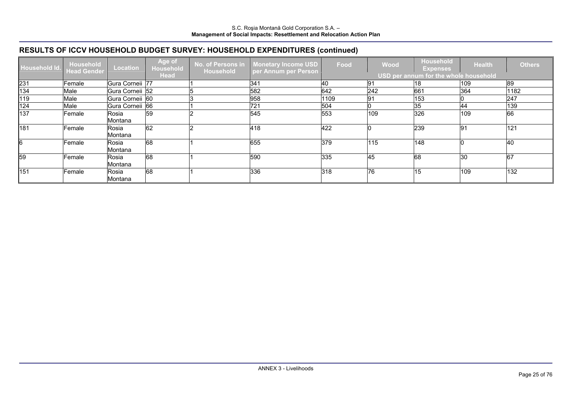### RESULTS OF ICCV HOUSEHOLD BUDGET SURVEY: HOUSEHOLD EXPENDITURES (continued)

| Household Id. | Household<br><b>Head Gender</b> | <b>Location</b>  | Age of<br>Household | No. of Persons in<br>Household | <b>Monetary Income USD</b><br>per Annum per Person | Food | Wood | <b>Household</b><br><b>Expenses</b>   | <b>Health</b> | <b>Others</b> |
|---------------|---------------------------------|------------------|---------------------|--------------------------------|----------------------------------------------------|------|------|---------------------------------------|---------------|---------------|
|               |                                 |                  | <b>Head</b>         |                                |                                                    |      |      | USD per annum for the whole household |               |               |
| 231           | Female                          | Gura Corneii 77  |                     |                                | 341                                                | 40   | 91   | 18                                    | 109           | 89            |
| 134           | Male                            | Gura Corneii 52  |                     |                                | 582                                                | 642  | 242  | 661                                   | 364           | 1182          |
| 119           | Male                            | Gura Corneii 60  |                     |                                | 958                                                | 1109 | 91   | 153                                   |               | 247           |
| 124           | Male                            | Gura Corneii 66  |                     |                                | 721                                                | 504  |      | 35                                    | 44            | 139           |
| 137           | Female                          | Rosia<br>Montana | 59                  |                                | 545                                                | 553  | 109  | 326                                   | 109           | 66            |
| 181           | Female                          | Rosia<br>Montana | 62                  |                                | 418                                                | 422  |      | 239                                   | 91            | 121           |
|               | Female                          | Rosia<br>Montana | 68                  |                                | 655                                                | 379  | 115  | 148                                   |               | 40            |
| 59            | Female                          | Rosia<br>Montana | 68                  |                                | 590                                                | 335  | 45   | 68                                    | 30            | 67            |
| 151           | Female                          | Rosia<br>Montana | 68                  |                                | 336                                                | 318  | 76   | 15                                    | 109           | 132           |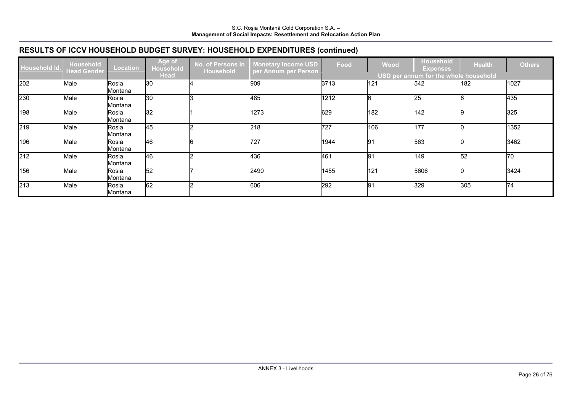### RESULTS OF ICCV HOUSEHOLD BUDGET SURVEY: HOUSEHOLD EXPENDITURES (continued)

| Household Id. | Household<br><b>Head Gender</b> | <b>Location</b>  | Age of<br><b>Household</b> | No. of Persons in<br><b>Household</b> | <b>Monetary Income USD</b><br>per Annum per Person | Food | Wood | <b>Household</b><br><b>Expenses</b>          | <b>Health</b> | <b>Others</b> |
|---------------|---------------------------------|------------------|----------------------------|---------------------------------------|----------------------------------------------------|------|------|----------------------------------------------|---------------|---------------|
|               |                                 |                  | <b>Head</b>                |                                       |                                                    |      |      | <b>USD per annum for the whole household</b> |               |               |
| 202           | Male                            | Rosia<br>Montana | 30                         |                                       | 909                                                | 3713 | 121  | 542                                          | 182           | 1027          |
| 230           | Male                            | Rosia<br>Montana | 30                         |                                       | 485                                                | 1212 |      | <b>25</b>                                    |               | 435           |
| 198           | Male                            | Rosia<br>Montana | 32                         |                                       | 1273                                               | 629  | 182  | 142                                          |               | 325           |
| 219           | Male                            | Rosia<br>Montana | 45                         |                                       | 218                                                | 727  | 106  | 177                                          |               | 1352          |
| 196           | Male                            | Rosia<br>Montana | 46                         |                                       | 727                                                | 1944 | 91   | 563                                          |               | 3462          |
| 212           | Male                            | Rosia<br>Montana | 46                         |                                       | 436                                                | 461  | 91   | 149                                          | 52            | 70            |
| 156           | Male                            | Rosia<br>Montana | 52                         |                                       | 2490                                               | 1455 | 121  | 5606                                         |               | 3424          |
| 213           | Male                            | Rosia<br>Montana | 62                         |                                       | 606                                                | 292  | 91   | 329                                          | 305           | 74            |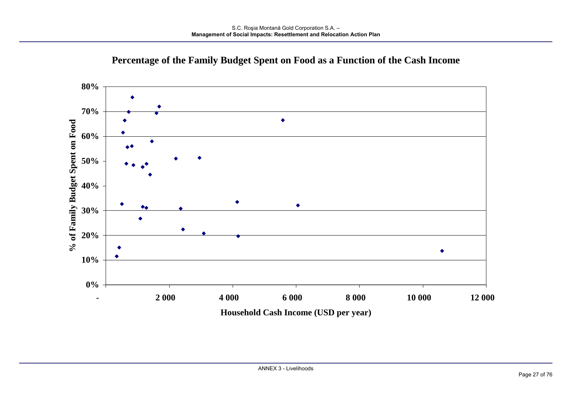

# Percentage of the Family Budget Spent on Food as a Function of the Cash Income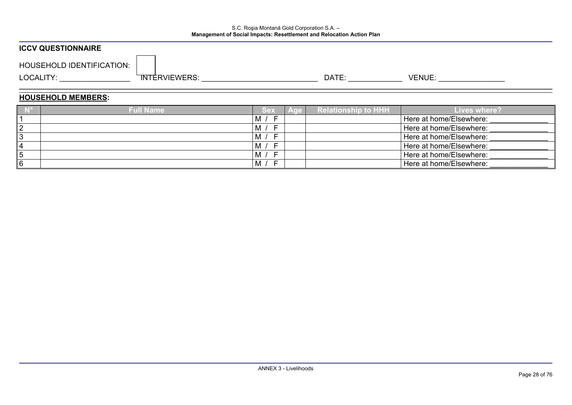# S.C. Roșia Montană Gold Corporation S.A. -<br>Management of Social Impacts: Resettlement and Relocation Action Plan

| <b>ICCV QUESTIONNAIRE</b>                                                                                                                                                                                                     |                                     |            |                                                                                                                                                                                                                                |                         |  |  |  |
|-------------------------------------------------------------------------------------------------------------------------------------------------------------------------------------------------------------------------------|-------------------------------------|------------|--------------------------------------------------------------------------------------------------------------------------------------------------------------------------------------------------------------------------------|-------------------------|--|--|--|
| <b>HOUSEHOLD IDENTIFICATION:</b>                                                                                                                                                                                              |                                     |            |                                                                                                                                                                                                                                |                         |  |  |  |
| LOCALITY: And the state of the state of the state of the state of the state of the state of the state of the state of the state of the state of the state of the state of the state of the state of the state of the state of | TNTERVIEWERS: New York State (1997) |            | DATE: the contract of the contract of the contract of the contract of the contract of the contract of the contract of the contract of the contract of the contract of the contract of the contract of the contract of the cont |                         |  |  |  |
| <b>HOUSEHOLD MEMBERS:</b>                                                                                                                                                                                                     |                                     |            |                                                                                                                                                                                                                                |                         |  |  |  |
| $\sqrt{N^2}$                                                                                                                                                                                                                  | <b>Full Name</b>                    | Sex<br>Age | <b>Relationship to HHH</b>                                                                                                                                                                                                     | <b>Lives where?</b>     |  |  |  |
|                                                                                                                                                                                                                               |                                     | M / F      |                                                                                                                                                                                                                                | Here at home/Elsewhere: |  |  |  |
| 2                                                                                                                                                                                                                             |                                     | M /<br>-F  |                                                                                                                                                                                                                                | Here at home/Elsewhere: |  |  |  |
| $\overline{3}$                                                                                                                                                                                                                |                                     | M /<br>- F |                                                                                                                                                                                                                                | Here at home/Elsewhere: |  |  |  |
| 4                                                                                                                                                                                                                             |                                     | M /<br>-F  |                                                                                                                                                                                                                                | Here at home/Elsewhere: |  |  |  |
| 5                                                                                                                                                                                                                             |                                     | -F<br>M /  |                                                                                                                                                                                                                                | Here at home/Elsewhere: |  |  |  |
| 16                                                                                                                                                                                                                            |                                     | M /<br>-F  |                                                                                                                                                                                                                                | Here at home/Elsewhere: |  |  |  |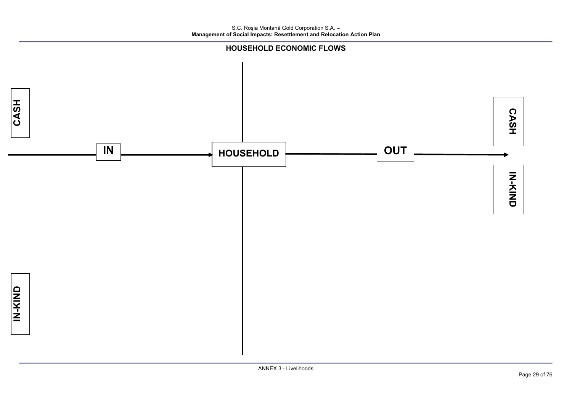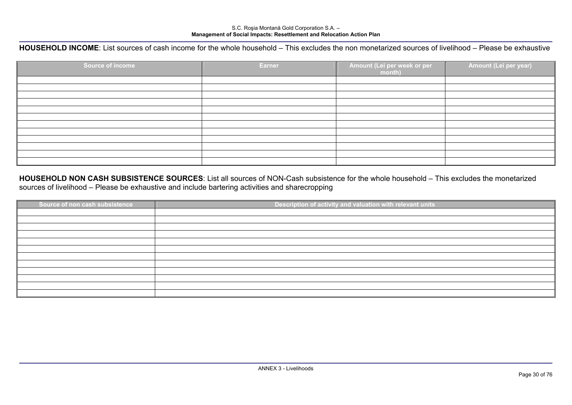# S.C. Rosia Montană Gold Corporation S.A. -<br>Management of Social Impacts: Resettlement and Relocation Action Plan

#### HOUSEHOLD INCOME: List sources of cash income for the whole household – This excludes the non monetarized sources of livelihood – Please be exhaustive

| Source of income | Earner | Amount (Lei per week or per<br>month) | Amount (Lei per year) |
|------------------|--------|---------------------------------------|-----------------------|
|                  |        |                                       |                       |
|                  |        |                                       |                       |
|                  |        |                                       |                       |
|                  |        |                                       |                       |
|                  |        |                                       |                       |
|                  |        |                                       |                       |
|                  |        |                                       |                       |
|                  |        |                                       |                       |
|                  |        |                                       |                       |
|                  |        |                                       |                       |
|                  |        |                                       |                       |
|                  |        |                                       |                       |

#### HOUSEHOLD NON CASH SUBSISTENCE SOURCES: List all sources of NON-Cash subsistence for the whole household – This excludes the monetarized sources of livelihood - Please be exhaustive and include bartering activities and sharecropping

| Source of non cash subsistence | Description of activity and valuation with relevant units |
|--------------------------------|-----------------------------------------------------------|
|                                |                                                           |
|                                |                                                           |
|                                |                                                           |
|                                |                                                           |
|                                |                                                           |
|                                |                                                           |
|                                |                                                           |
|                                |                                                           |
|                                |                                                           |
|                                |                                                           |
|                                |                                                           |
|                                |                                                           |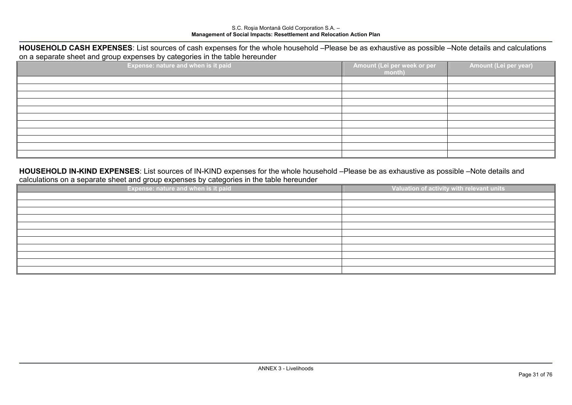# S.C. Rosia Montană Gold Corporation S.A. -<br>Management of Social Impacts: Resettlement and Relocation Action Plan

#### HOUSEHOLD CASH EXPENSES: List sources of cash expenses for the whole household -Please be as exhaustive as possible -Note details and calculations on a separate sheet and group expenses by categories in the table hereunder

| $\sim$ $\sim$<br>Expense: nature and when is it paid | Amount (Lei per week or per<br>month) | Amount (Lei per year) |
|------------------------------------------------------|---------------------------------------|-----------------------|
|                                                      |                                       |                       |
|                                                      |                                       |                       |
|                                                      |                                       |                       |
|                                                      |                                       |                       |
|                                                      |                                       |                       |
|                                                      |                                       |                       |
|                                                      |                                       |                       |
|                                                      |                                       |                       |
|                                                      |                                       |                       |
|                                                      |                                       |                       |
|                                                      |                                       |                       |

#### HOUSEHOLD IN-KIND EXPENSES: List sources of IN-KIND expenses for the whole household -Please be as exhaustive as possible -Note details and calculations on a separate sheet and group expenses by categories in the table hereunder

| Expense: nature and when is it paid | Valuation of activity with relevant units |
|-------------------------------------|-------------------------------------------|
|                                     |                                           |
|                                     |                                           |
|                                     |                                           |
|                                     |                                           |
|                                     |                                           |
|                                     |                                           |
|                                     |                                           |
|                                     |                                           |
|                                     |                                           |
|                                     |                                           |
|                                     |                                           |
|                                     |                                           |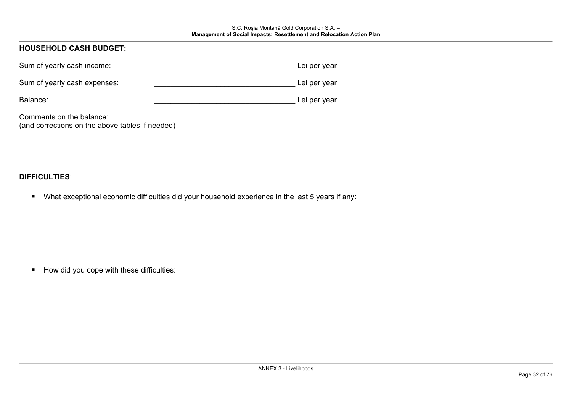# S.C. Roșia Montană Gold Corporation S.A. -<br>Management of Social Impacts: Resettlement and Relocation Action Plan

| <b>HOUSEHOLD CASH BUDGET:</b>                                               |              |  |
|-----------------------------------------------------------------------------|--------------|--|
| Sum of yearly cash income:                                                  | Lei per year |  |
| Sum of yearly cash expenses:                                                | Lei per year |  |
| Balance:                                                                    | Lei per year |  |
| Comments on the balance:<br>(and corrections on the above tables if needed) |              |  |

#### **DIFFICULTIES:**

 $\blacksquare$ What exceptional economic difficulties did your household experience in the last 5 years if any:

How did you cope with these difficulties: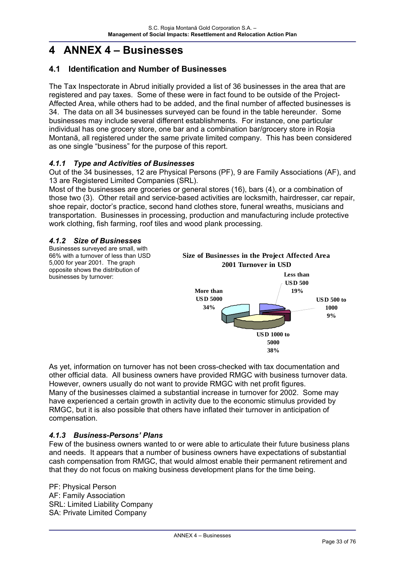# **4 ANNEX 4 – Businesses**

### **4.1 Identification and Number of Businesses**

The Tax Inspectorate in Abrud initially provided a list of 36 businesses in the area that are registered and pay taxes. Some of these were in fact found to be outside of the Project-Affected Area, while others had to be added, and the final number of affected businesses is 34. The data on all 34 businesses surveyed can be found in the table hereunder. Some businesses may include several different establishments. For instance, one particular individual has one grocery store, one bar and a combination bar/grocery store in Roşia Montană, all registered under the same private limited company. This has been considered as one single "business" for the purpose of this report.

#### *4.1.1 Type and Activities of Businesses*

Out of the 34 businesses, 12 are Physical Persons (PF), 9 are Family Associations (AF), and 13 are Registered Limited Companies (SRL).

Most of the businesses are groceries or general stores (16), bars (4), or a combination of those two (3). Other retail and service-based activities are locksmith, hairdresser, car repair, shoe repair, doctor's practice, second hand clothes store, funeral wreaths, musicians and transportation. Businesses in processing, production and manufacturing include protective work clothing, fish farming, roof tiles and wood plank processing.

#### *4.1.2 Size of Businesses*

Businesses surveyed are small, with 66% with a turnover of less than USD 5,000 for year 2001. The graph opposite shows the distribution of businesses by turnover:



As yet, information on turnover has not been cross-checked with tax documentation and other official data. All business owners have provided RMGC with business turnover data. However, owners usually do not want to provide RMGC with net profit figures. Many of the businesses claimed a substantial increase in turnover for 2002. Some may have experienced a certain growth in activity due to the economic stimulus provided by RMGC, but it is also possible that others have inflated their turnover in anticipation of compensation.

#### *4.1.3 Business-Persons' Plans*

Few of the business owners wanted to or were able to articulate their future business plans and needs. It appears that a number of business owners have expectations of substantial cash compensation from RMGC, that would almost enable their permanent retirement and that they do not focus on making business development plans for the time being.

PF: Physical Person AF: Family Association SRL: Limited Liability Company SA: Private Limited Company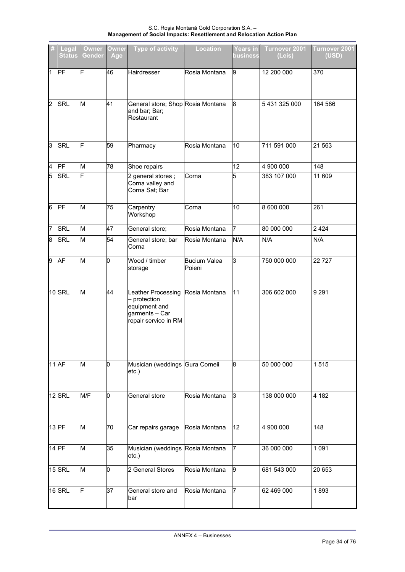S.C. Roșia Montană Gold Corporation S.A. -<br>Management of Social Impacts: Resettlement and Relocation Action Plan

|                | Legal<br><b>Status</b> | <b>Owner</b><br>Gender | <b>Owner</b><br>Age | <b>Type of activity</b>                                                                     | <b>Location</b>               | <b>Years in</b><br>business | Turnover 2001<br>(Leis) | Turnover 2001<br>(USD) |
|----------------|------------------------|------------------------|---------------------|---------------------------------------------------------------------------------------------|-------------------------------|-----------------------------|-------------------------|------------------------|
| 1              | PF                     | F                      | 46                  | Hairdresser                                                                                 | Rosia Montana                 | 9                           | 12 200 000              | 370                    |
| $\overline{2}$ | <b>SRL</b>             | M                      | 41                  | General store; Shop Rosia Montana<br>and bar; Bar;<br>Restaurant                            |                               | 8                           | 5 431 325 000           | 164 586                |
| 3              | <b>SRL</b>             | F                      | 59                  | Pharmacy                                                                                    | Rosia Montana                 | 10                          | 711 591 000             | 21 563                 |
| 4              | PF                     | M                      | 78                  | Shoe repairs                                                                                |                               | 12                          | 4 900 000               | 148                    |
| 5              | <b>SRL</b>             | F                      |                     | 2 general stores;<br>Corna valley and<br>Corna Sat; Bar                                     | Corna                         | 5                           | 383 107 000             | 11 609                 |
| 6              | PF                     | M                      | 75                  | Carpentry<br>Workshop                                                                       | Corna                         | 10                          | 8 600 000               | 261                    |
| 7              | <b>SRL</b>             | M                      | 47                  | General store;                                                                              | Rosia Montana                 | $\overline{7}$              | 80 000 000              | 2 4 2 4                |
| 8              | <b>SRL</b>             | M                      | 54                  | General store; bar<br>Corna                                                                 | Rosia Montana                 | N/A                         | N/A                     | N/A                    |
| 9              | AF                     | M                      | Iо                  | Wood / timber<br>storage                                                                    | <b>Bucium Valea</b><br>Poieni | 3                           | 750 000 000             | 22727                  |
|                | 10 SRL                 | M                      | 44                  | Leather Processing<br>protection<br>equipment and<br>garments - Car<br>repair service in RM | Rosia Montana                 | 11                          | 306 602 000             | 9 2 9 1                |
|                | <b>11 AF</b>           | M                      | 10                  | Musician (weddings Gura Corneii<br>etc.)                                                    |                               | 8                           | 50 000 000              | 1515                   |
|                | 12 SRL                 | M/F                    | Ю                   | General store                                                                               | Rosia Montana                 | 3                           | 138 000 000             | 4 182                  |
|                | $13$ PF                | M                      | 70                  | Car repairs garage                                                                          | Rosia Montana                 | 12                          | 4 900 000               | 148                    |
|                | 14 PF                  | M                      | 35                  | Musician (weddings Rosia Montana<br>etc.)                                                   |                               | 7                           | 36 000 000              | 1 0 9 1                |
|                | 15 SRL                 | M                      | o                   | 2 General Stores                                                                            | Rosia Montana                 | 9                           | 681 543 000             | 20 653                 |
|                | 16SRL                  | F                      | 37                  | General store and<br>bar                                                                    | Rosia Montana                 | 7                           | 62 469 000              | 1893                   |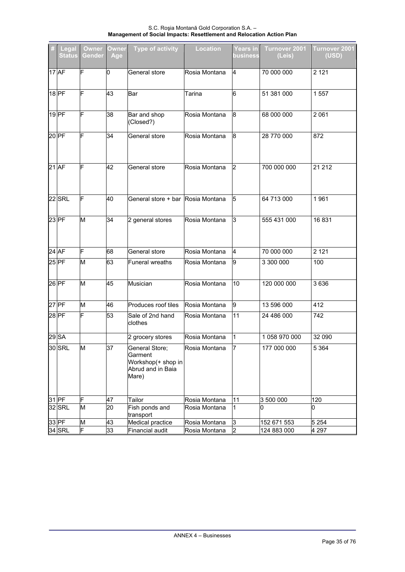S.C. Roșia Montană Gold Corporation S.A. -<br>Management of Social Impacts: Resettlement and Relocation Action Plan

| Legal<br><b>Status</b> | Owner<br><b>Gender</b>  | Owner<br>Age | <b>Type of activity</b>                                                       | <b>Location</b> | Years in<br>business | Turnover 2001<br>(Leis) | Turnover 2001<br>(USD) |
|------------------------|-------------------------|--------------|-------------------------------------------------------------------------------|-----------------|----------------------|-------------------------|------------------------|
| 17 AF                  | IF                      | 0            | General store                                                                 | Rosia Montana   | 4                    | 70 000 000              | 2 1 2 1                |
| 18 PF                  | F                       | 43           | Bar                                                                           | Tarina          | 6                    | 51 381 000              | 1557                   |
| 19 PF                  | F                       | 38           | Bar and shop<br>(Closed?)                                                     | Rosia Montana   | 8                    | 68 000 000              | 2 0 6 1                |
| 20 PF                  | F                       | 34           | General store                                                                 | Rosia Montana   | 8                    | 28 770 000              | 872                    |
| 21 AF                  | F                       | 42           | General store                                                                 | Rosia Montana   | 2                    | 700 000 000             | 21 21 2                |
| <b>22 SRL</b>          | F                       | 40           | General store + bar Rosia Montana                                             |                 | 5                    | 64 713 000              | 1961                   |
| 23 PF                  | M                       | 34           | 2 general stores                                                              | Rosia Montana   | IЗ                   | 555 431 000             | 16831                  |
| 24 AF                  | F                       | 68           | General store                                                                 | Rosia Montana   | 4                    | 70 000 000              | 2 1 2 1                |
| 25 PF                  | M                       | 63           | <b>Funeral wreaths</b>                                                        | Rosia Montana   | 9                    | 3 300 000               | 100                    |
| 26 PF                  | M                       | 45           | Musician                                                                      | Rosia Montana   | 10                   | 120 000 000             | 3636                   |
| 27 PF                  | M                       | 46           | Produces roof tiles                                                           | Rosia Montana   | 9                    | 13 596 000              | 412                    |
| 28 PF                  | F                       | 53           | Sale of 2nd hand<br>clothes                                                   | Rosia Montana   | 11                   | 24 486 000              | 742                    |
| 29 SA                  |                         |              | 2 grocery stores                                                              | Rosia Montana   | $\mathbf 1$          | 1 058 970 000           | 32 090                 |
| 30 SRL                 | $\overline{\mathsf{M}}$ | 37           | General Store;<br>Garment<br>Workshop(+ shop in<br>Abrud and in Baia<br>Mare) | Rosia Montana   | $\overline{7}$       | 177 000 000             | 5 3 6 4                |
| 31 PF                  | F                       | 47           | Tailor                                                                        | Rosia Montana   | 11                   | 3 500 000               | 120                    |
| 32 SRL                 | M                       | 20           | Fish ponds and<br>transport                                                   | Rosia Montana   | 1                    | 0                       | O                      |
| $33$ PF                | M                       | 43           | Medical practice                                                              | Rosia Montana   | 3                    | 152 671 553             | 5 2 5 4                |
| $34$ SRL               | F                       | 33           | Financial audit                                                               | Rosia Montana   | $\overline{2}$       | 124 883 000             | 4 297                  |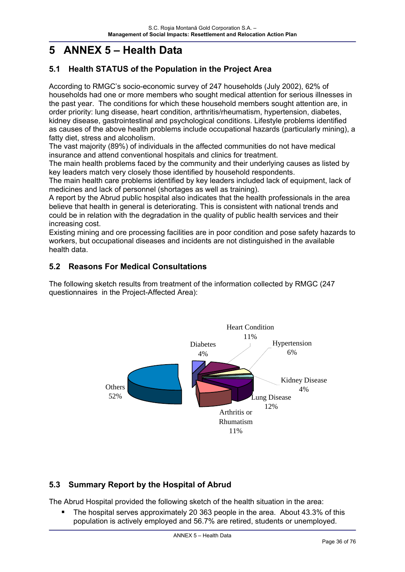# **5 ANNEX 5 – Health Data**

# **5.1 Health STATUS of the Population in the Project Area**

According to RMGC's socio-economic survey of 247 households (July 2002), 62% of households had one or more members who sought medical attention for serious illnesses in the past year. The conditions for which these household members sought attention are, in order priority: lung disease, heart condition, arthritis/rheumatism, hypertension, diabetes, kidney disease, gastrointestinal and psychological conditions. Lifestyle problems identified as causes of the above health problems include occupational hazards (particularly mining), a fatty diet, stress and alcoholism.

The vast majority (89%) of individuals in the affected communities do not have medical insurance and attend conventional hospitals and clinics for treatment.

The main health problems faced by the community and their underlying causes as listed by key leaders match very closely those identified by household respondents.

The main health care problems identified by key leaders included lack of equipment, lack of medicines and lack of personnel (shortages as well as training).

A report by the Abrud public hospital also indicates that the health professionals in the area believe that health in general is deteriorating. This is consistent with national trends and could be in relation with the degradation in the quality of public health services and their increasing cost.

Existing mining and ore processing facilities are in poor condition and pose safety hazards to workers, but occupational diseases and incidents are not distinguished in the available health data.

# **5.2 Reasons For Medical Consultations**

The following sketch results from treatment of the information collected by RMGC (247 questionnaires in the Project-Affected Area):



# **5.3 Summary Report by the Hospital of Abrud**

The Abrud Hospital provided the following sketch of the health situation in the area:

 The hospital serves approximately 20 363 people in the area. About 43.3% of this population is actively employed and 56.7% are retired, students or unemployed.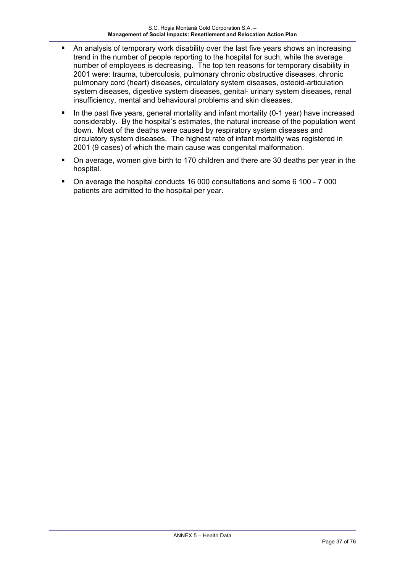- An analysis of temporary work disability over the last five years shows an increasing trend in the number of people reporting to the hospital for such, while the average number of employees is decreasing. The top ten reasons for temporary disability in 2001 were: trauma, tuberculosis, pulmonary chronic obstructive diseases, chronic pulmonary cord (heart) diseases, circulatory system diseases, osteoid-articulation system diseases, digestive system diseases, genital- urinary system diseases, renal insufficiency, mental and behavioural problems and skin diseases.
- In the past five years, general mortality and infant mortality (0-1 year) have increased considerably. By the hospital's estimates, the natural increase of the population went down. Most of the deaths were caused by respiratory system diseases and circulatory system diseases. The highest rate of infant mortality was registered in 2001 (9 cases) of which the main cause was congenital malformation.
- On average, women give birth to 170 children and there are 30 deaths per year in the hospital.
- On average the hospital conducts 16 000 consultations and some 6 100 7 000 patients are admitted to the hospital per year.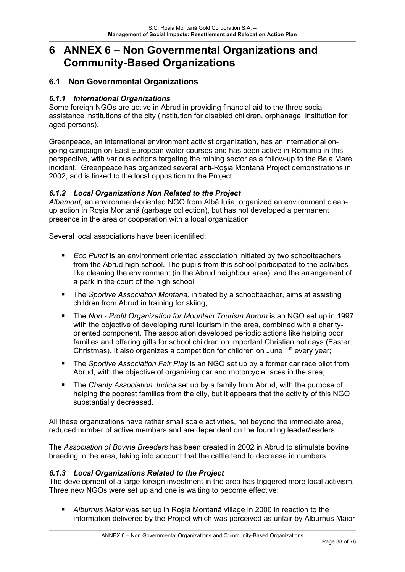# **6 ANNEX 6 – Non Governmental Organizations and Community-Based Organizations**

## **6.1 Non Governmental Organizations**

## *6.1.1 International Organizations*

Some foreign NGOs are active in Abrud in providing financial aid to the three social assistance institutions of the city (institution for disabled children, orphanage, institution for aged persons).

Greenpeace, an international environment activist organization, has an international ongoing campaign on East European water courses and has been active in Romania in this perspective, with various actions targeting the mining sector as a follow-up to the Baia Mare incident. Greenpeace has organized several anti-Roşia Montană Project demonstrations in 2002, and is linked to the local opposition to the Project.

### *6.1.2 Local Organizations Non Related to the Project*

*Albamont*, an environment-oriented NGO from Albă Iulia, organized an environment cleanup action in Roşia Montană (garbage collection), but has not developed a permanent presence in the area or cooperation with a local organization.

Several local associations have been identified:

- *Eco Punct* is an environment oriented association initiated by two schoolteachers from the Abrud high school. The pupils from this school participated to the activities like cleaning the environment (in the Abrud neighbour area), and the arrangement of a park in the court of the high school;
- The *Sportive Association Montana,* initiated by a schoolteacher, aims at assisting children from Abrud in training for skiing;
- The *Non Profit Organization for Mountain Tourism Abrom* is an NGO set up in 1997 with the objective of developing rural tourism in the area, combined with a charityoriented component. The association developed periodic actions like helping poor families and offering gifts for school children on important Christian holidays (Easter, Christmas). It also organizes a competition for children on June  $1<sup>st</sup>$  every year;
- The *Sportive Association Fair Play* is an NGO set up by a former car race pilot from Abrud, with the objective of organizing car and motorcycle races in the area;
- The *Charity Association Judica* set up by a family from Abrud, with the purpose of helping the poorest families from the city, but it appears that the activity of this NGO substantially decreased.

All these organizations have rather small scale activities, not beyond the immediate area, reduced number of active members and are dependent on the founding leader/leaders.

The *Association of Bovine Breeders* has been created in 2002 in Abrud to stimulate bovine breeding in the area, taking into account that the cattle tend to decrease in numbers.

#### *6.1.3 Local Organizations Related to the Project*

The development of a large foreign investment in the area has triggered more local activism. Three new NGOs were set up and one is waiting to become effective:

 *Alburnus Maior* was set up in Roşia Montană village in 2000 in reaction to the information delivered by the Project which was perceived as unfair by Alburnus Maior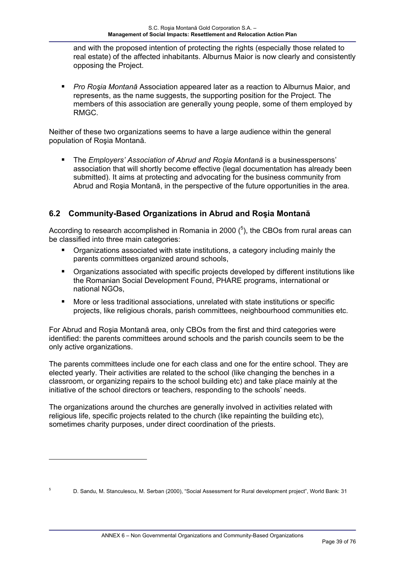and with the proposed intention of protecting the rights (especially those related to real estate) of the affected inhabitants. Alburnus Maior is now clearly and consistently opposing the Project.

 *Pro Roşia Montană* Association appeared later as a reaction to Alburnus Maior, and represents, as the name suggests, the supporting position for the Project. The members of this association are generally young people, some of them employed by RMGC.

Neither of these two organizations seems to have a large audience within the general population of Roşia Montană.

 The *Employers' Association of Abrud and Roşia Montană* is a businesspersons' association that will shortly become effective (legal documentation has already been submitted). It aims at protecting and advocating for the business community from Abrud and Roşia Montană, in the perspective of the future opportunities in the area.

# **6.2 Community-Based Organizations in Abrud and Roşia Montană**

According to research accomplished in Romania in 2000  $(^5)$ , the CBOs from rural areas can be classified into three main categories:

- Organizations associated with state institutions, a category including mainly the parents committees organized around schools,
- Organizations associated with specific projects developed by different institutions like the Romanian Social Development Found, PHARE programs, international or national NGOs,
- More or less traditional associations, unrelated with state institutions or specific projects, like religious chorals, parish committees, neighbourhood communities etc.

For Abrud and Roşia Montană area, only CBOs from the first and third categories were identified: the parents committees around schools and the parish councils seem to be the only active organizations.

The parents committees include one for each class and one for the entire school. They are elected yearly. Their activities are related to the school (like changing the benches in a classroom, or organizing repairs to the school building etc) and take place mainly at the initiative of the school directors or teachers, responding to the schools' needs.

The organizations around the churches are generally involved in activities related with religious life, specific projects related to the church (like repainting the building etc), sometimes charity purposes, under direct coordination of the priests.

1

5

D. Sandu, M. Stanculescu, M. Serban (2000), "Social Assessment for Rural development project", World Bank: 31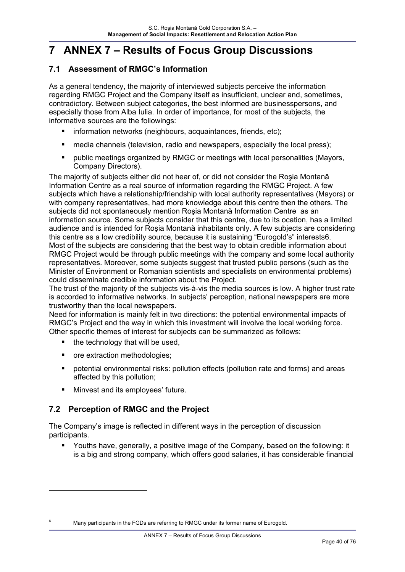# **7 ANNEX 7 – Results of Focus Group Discussions**

## **7.1 Assessment of RMGC's Information**

As a general tendency, the majority of interviewed subjects perceive the information regarding RMGC Project and the Company itself as insufficient, unclear and, sometimes, contradictory. Between subject categories, the best informed are businesspersons, and especially those from Alba Iulia. In order of importance, for most of the subjects, the informative sources are the followings:

- information networks (neighbours, acquaintances, friends, etc);
- **numedia channels (television, radio and newspapers, especially the local press);**
- **•** public meetings organized by RMGC or meetings with local personalities (Mayors, Company Directors).

The majority of subjects either did not hear of, or did not consider the Roşia Montană Information Centre as a real source of information regarding the RMGC Project. A few subjects which have a relationship/friendship with local authority representatives (Mayors) or with company representatives, had more knowledge about this centre then the others. The subjects did not spontaneously mention Roşia Montană Information Centre as an information source. Some subjects consider that this centre, due to its ocation, has a limited audience and is intended for Roşia Montană inhabitants only. A few subjects are considering this centre as a low credibility source, because it is sustaining "Eurogold's" interests6. Most of the subjects are considering that the best way to obtain credible information about RMGC Project would be through public meetings with the company and some local authority representatives. Moreover, some subjects suggest that trusted public persons (such as the Minister of Environment or Romanian scientists and specialists on environmental problems) could disseminate credible information about the Project.

The trust of the majority of the subjects vis-à-vis the media sources is low. A higher trust rate is accorded to informative networks. In subjects' perception, national newspapers are more trustworthy than the local newspapers.

Need for information is mainly felt in two directions: the potential environmental impacts of RMGC's Project and the way in which this investment will involve the local working force. Other specific themes of interest for subjects can be summarized as follows:

- $\blacksquare$  the technology that will be used,
- ore extraction methodologies;

 $\overline{a}$ 

- potential environmental risks: pollution effects (pollution rate and forms) and areas affected by this pollution;
- **Minvest and its employees' future.**

## **7.2 Perception of RMGC and the Project**

The Company's image is reflected in different ways in the perception of discussion participants.

 Youths have, generally, a positive image of the Company, based on the following: it is a big and strong company, which offers good salaries, it has considerable financial

<sup>6</sup> Many participants in the FGDs are referring to RMGC under its former name of Eurogold.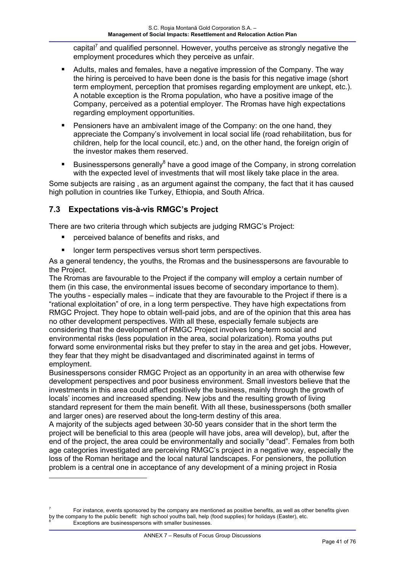capital $^7$  and qualified personnel. However, youths perceive as strongly negative the employment procedures which they perceive as unfair.

- Adults, males and females, have a negative impression of the Company. The way the hiring is perceived to have been done is the basis for this negative image (short term employment, perception that promises regarding employment are unkept, etc.). A notable exception is the Rroma population, who have a positive image of the Company, perceived as a potential employer. The Rromas have high expectations regarding employment opportunities.
- Pensioners have an ambivalent image of the Company: on the one hand, they appreciate the Company's involvement in local social life (road rehabilitation, bus for children, help for the local council, etc.) and, on the other hand, the foreign origin of the investor makes them reserved.
- **Businesspersons generally**<sup>8</sup> have a good image of the Company, in strong correlation with the expected level of investments that will most likely take place in the area.

Some subjects are raising , as an argument against the company, the fact that it has caused high pollution in countries like Turkey, Ethiopia, and South Africa.

## **7.3 Expectations vis-à-vis RMGC's Project**

1

There are two criteria through which subjects are judging RMGC's Project:

- perceived balance of benefits and risks, and
- **If** longer term perspectives versus short term perspectives.

As a general tendency, the youths, the Rromas and the businesspersons are favourable to the Project.

The Rromas are favourable to the Project if the company will employ a certain number of them (in this case, the environmental issues become of secondary importance to them). The youths - especially males – indicate that they are favourable to the Project if there is a "rational exploitation" of ore, in a long term perspective. They have high expectations from RMGC Project. They hope to obtain well-paid jobs, and are of the opinion that this area has no other development perspectives. With all these, especially female subjects are considering that the development of RMGC Project involves long-term social and environmental risks (less population in the area, social polarization). Roma youths put forward some environmental risks but they prefer to stay in the area and get jobs. However, they fear that they might be disadvantaged and discriminated against in terms of employment.

Businesspersons consider RMGC Project as an opportunity in an area with otherwise few development perspectives and poor business environment. Small investors believe that the investments in this area could affect positively the business, mainly through the growth of locals' incomes and increased spending. New jobs and the resulting growth of living standard represent for them the main benefit. With all these, businesspersons (both smaller and larger ones) are reserved about the long-term destiny of this area.

A majority of the subjects aged between 30-50 years consider that in the short term the project will be beneficial to this area (people will have jobs, area will develop), but, after the end of the project, the area could be environmentally and socially "dead". Females from both age categories investigated are perceiving RMGC's project in a negative way, especially the loss of the Roman heritage and the local natural landscapes. For pensioners, the pollution problem is a central one in acceptance of any development of a mining project in Rosia

<sup>7</sup> For instance, events sponsored by the company are mentioned as positive benefits, as well as other benefits given by the company to the public benefit: high school youths ball, help (food supplies) for holidays (Easter), etc. 8 Exceptions are businesspersons with smaller businesses.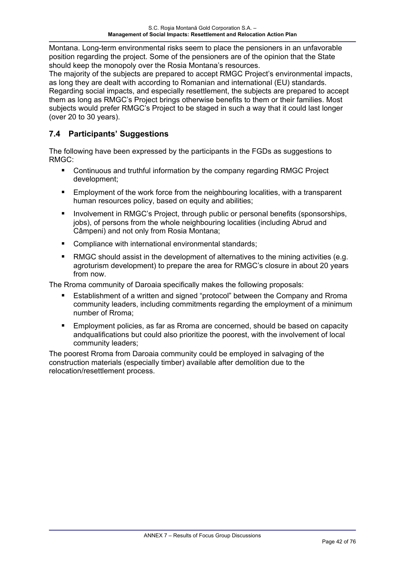Montana. Long-term environmental risks seem to place the pensioners in an unfavorable position regarding the project. Some of the pensioners are of the opinion that the State should keep the monopoly over the Rosia Montana's resources.

The majority of the subjects are prepared to accept RMGC Project's environmental impacts, as long they are dealt with according to Romanian and international (EU) standards. Regarding social impacts, and especially resettlement, the subjects are prepared to accept them as long as RMGC's Project brings otherwise benefits to them or their families. Most subjects would prefer RMGC's Project to be staged in such a way that it could last longer (over 20 to 30 years).

## **7.4 Participants' Suggestions**

The following have been expressed by the participants in the FGDs as suggestions to RMGC:

- Continuous and truthful information by the company regarding RMGC Project development;
- **Employment of the work force from the neighbouring localities, with a transparent** human resources policy, based on equity and abilities;
- Involvement in RMGC's Project, through public or personal benefits (sponsorships, jobs), of persons from the whole neighbouring localities (including Abrud and Câmpeni) and not only from Rosia Montana;
- **Compliance with international environmental standards;**
- RMGC should assist in the development of alternatives to the mining activities (e.g. agroturism development) to prepare the area for RMGC's closure in about 20 years from now.

The Rroma community of Daroaia specifically makes the following proposals:

- Establishment of a written and signed "protocol" between the Company and Rroma community leaders, including commitments regarding the employment of a minimum number of Rroma;
- Employment policies, as far as Rroma are concerned, should be based on capacity andqualifications but could also prioritize the poorest, with the involvement of local community leaders;

The poorest Rroma from Daroaia community could be employed in salvaging of the construction materials (especially timber) available after demolition due to the relocation/resettlement process.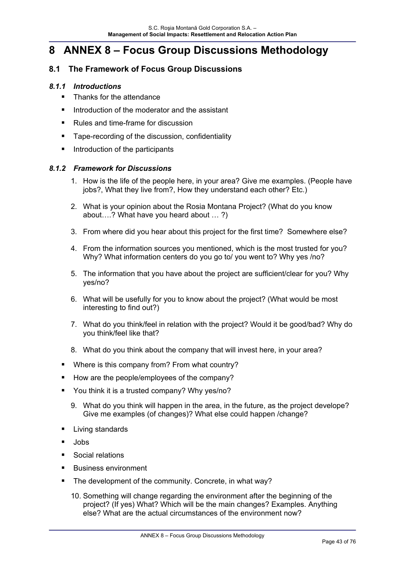# **8 ANNEX 8 – Focus Group Discussions Methodology**

## **8.1 The Framework of Focus Group Discussions**

#### *8.1.1 Introductions*

- Thanks for the attendance
- Introduction of the moderator and the assistant
- Rules and time-frame for discussion
- **Tape-recording of the discussion, confidentiality**
- **Introduction of the participants**

#### *8.1.2 Framework for Discussions*

- 1. How is the life of the people here, in your area? Give me examples. (People have jobs?, What they live from?, How they understand each other? Etc.)
- 2. What is your opinion about the Rosia Montana Project? (What do you know about….? What have you heard about … ?)
- 3. From where did you hear about this project for the first time? Somewhere else?
- 4. From the information sources you mentioned, which is the most trusted for you? Why? What information centers do you go to/ you went to? Why yes /no?
- 5. The information that you have about the project are sufficient/clear for you? Why yes/no?
- 6. What will be usefully for you to know about the project? (What would be most interesting to find out?)
- 7. What do you think/feel in relation with the project? Would it be good/bad? Why do you think/feel like that?
- 8. What do you think about the company that will invest here, in your area?
- Where is this company from? From what country?
- How are the people/employees of the company?
- You think it is a trusted company? Why yes/no?
	- 9. What do you think will happen in the area, in the future, as the project develope? Give me examples (of changes)? What else could happen /change?
- Living standards
- **Jobs**
- Social relations
- **Business environment**
- The development of the community. Concrete, in what way?
	- 10. Something will change regarding the environment after the beginning of the project? (If yes) What? Which will be the main changes? Examples. Anything else? What are the actual circumstances of the environment now?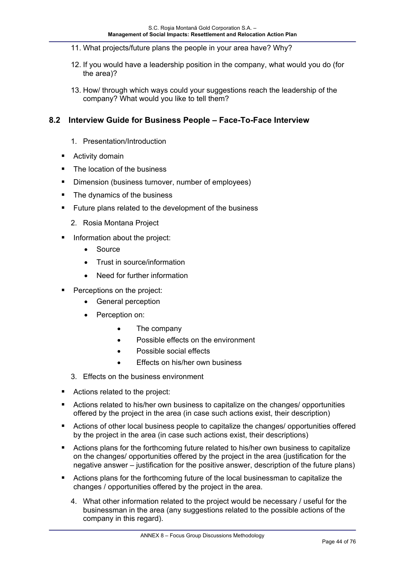- 11. What projects/future plans the people in your area have? Why?
- 12. If you would have a leadership position in the company, what would you do (for the area)?
- 13. How/ through which ways could your suggestions reach the leadership of the company? What would you like to tell them?

## **8.2 Interview Guide for Business People – Face-To-Face Interview**

- 1. Presentation/Introduction
- Activity domain
- The location of the business
- Dimension (business turnover, number of employees)
- The dynamics of the business
- **Future plans related to the development of the business** 
	- 2. Rosia Montana Project
- Information about the project:
	- Source
	- Trust in source/information
	- Need for further information
- Perceptions on the project:
	- General perception
	- Perception on:
		- The company
		- Possible effects on the environment
		- Possible social effects
		- Effects on his/her own business
	- 3. Effects on the business environment
- Actions related to the project:
- **EXTERN Actions related to his/her own business to capitalize on the changes/ opportunities** offered by the project in the area (in case such actions exist, their description)
- **EXTERCT Actions of other local business people to capitalize the changes/ opportunities offered** by the project in the area (in case such actions exist, their descriptions)
- Actions plans for the forthcoming future related to his/her own business to capitalize on the changes/ opportunities offered by the project in the area (justification for the negative answer – justification for the positive answer, description of the future plans)
- Actions plans for the forthcoming future of the local businessman to capitalize the changes / opportunities offered by the project in the area.
	- 4. What other information related to the project would be necessary / useful for the businessman in the area (any suggestions related to the possible actions of the company in this regard).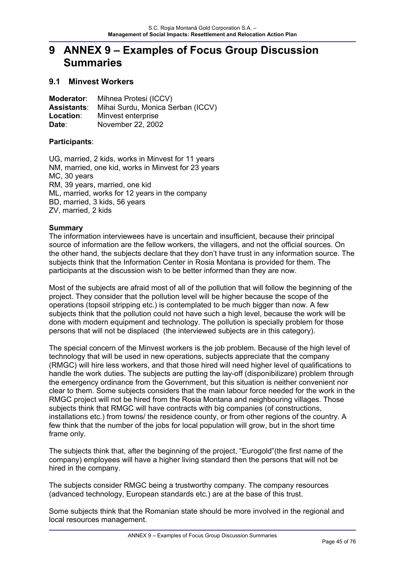# **9 ANNEX 9 – Examples of Focus Group Discussion Summaries**

## **9.1 Minvest Workers**

**Moderator**: Mihnea Protesi (ICCV) **Assistants**: Mihai Surdu, Monica Serban (ICCV) **Location:** Minvest enterprise **Date**: November 22, 2002

#### **Participants**:

UG, married, 2 kids, works in Minvest for 11 years NM, married, one kid, works in Minvest for 23 years MC, 30 years RM, 39 years, married, one kid ML, married, works for 12 years in the company BD, married, 3 kids, 56 years ZV, married, 2 kids

#### **Summary**

The information interviewees have is uncertain and insufficient, because their principal source of information are the fellow workers, the villagers, and not the official sources. On the other hand, the subjects declare that they don't have trust in any information source. The subjects think that the Information Center in Rosia Montana is provided for them. The participants at the discussion wish to be better informed than they are now.

Most of the subjects are afraid most of all of the pollution that will follow the beginning of the project. They consider that the pollution level will be higher because the scope of the operations (topsoil stripping etc.) is contemplated to be much bigger than now. A few subjects think that the pollution could not have such a high level, because the work will be done with modern equipment and technology. The pollution is specially problem for those persons that will not be displaced (the interviewed subjects are in this category).

The special concern of the Minvest workers is the job problem. Because of the high level of technology that will be used in new operations, subjects appreciate that the company (RMGC) will hire less workers, and that those hired will need higher level of qualifications to handle the work duties. The subjects are putting the lay-off (disponibilizare) problem through the emergency ordinance from the Government, but this situation is neither convenient nor clear to them. Some subjects considers that the main labour force needed for the work in the RMGC project will not be hired from the Rosia Montana and neighbouring villages. Those subjects think that RMGC will have contracts with big companies (of constructions, installations etc.) from towns/ the residence county, or from other regions of the country. A few think that the number of the jobs for local population will grow, but in the short time frame only.

The subjects think that, after the beginning of the project, "Eurogold"(the first name of the company) employees will have a higher living standard then the persons that will not be hired in the company.

The subjects consider RMGC being a trustworthy company. The company resources (advanced technology, European standards etc.) are at the base of this trust.

Some subjects think that the Romanian state should be more involved in the regional and local resources management.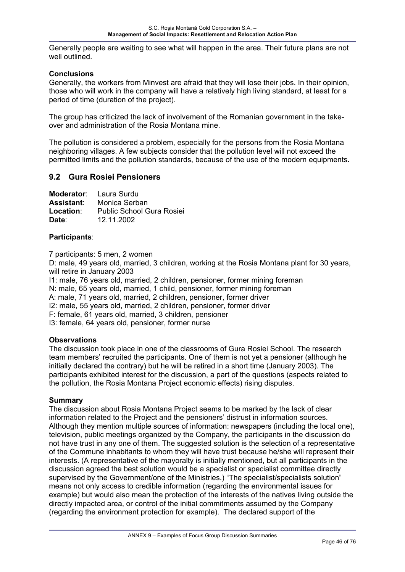Generally people are waiting to see what will happen in the area. Their future plans are not well outlined.

#### **Conclusions**

Generally, the workers from Minvest are afraid that they will lose their jobs. In their opinion, those who will work in the company will have a relatively high living standard, at least for a period of time (duration of the project).

The group has criticized the lack of involvement of the Romanian government in the takeover and administration of the Rosia Montana mine.

The pollution is considered a problem, especially for the persons from the Rosia Montana neighboring villages. A few subjects consider that the pollution level will not exceed the permitted limits and the pollution standards, because of the use of the modern equipments.

### **9.2 Gura Rosiei Pensioners**

|            | <b>Moderator:</b> Laura Surdu    |
|------------|----------------------------------|
| Assistant: | Monica Serban                    |
| Location:  | <b>Public School Gura Rosiei</b> |
| Date:      | 12.11.2002                       |

#### **Participants**:

7 participants: 5 men, 2 women

D: male, 49 years old, married, 3 children, working at the Rosia Montana plant for 30 years, will retire in January 2003

I1: male, 76 years old, married, 2 children, pensioner, former mining foreman

N: male, 65 years old, married, 1 child, pensioner, former mining foreman

A: male, 71 years old, married, 2 children, pensioner, former driver

I2: male, 55 years old, married, 2 children, pensioner, former driver

F: female, 61 years old, married, 3 children, pensioner

I3: female, 64 years old, pensioner, former nurse

#### **Observations**

The discussion took place in one of the classrooms of Gura Rosiei School. The research team members' recruited the participants. One of them is not yet a pensioner (although he initially declared the contrary) but he will be retired in a short time (January 2003). The participants exhibited interest for the discussion, a part of the questions (aspects related to the pollution, the Rosia Montana Project economic effects) rising disputes.

#### **Summary**

The discussion about Rosia Montana Project seems to be marked by the lack of clear information related to the Project and the pensioners' distrust in information sources. Although they mention multiple sources of information: newspapers (including the local one), television, public meetings organized by the Company, the participants in the discussion do not have trust in any one of them. The suggested solution is the selection of a representative of the Commune inhabitants to whom they will have trust because he/she will represent their interests. (A representative of the mayoralty is initially mentioned, but all participants in the discussion agreed the best solution would be a specialist or specialist committee directly supervised by the Government/one of the Ministries.) "The specialist/specialists solution" means not only access to credible information (regarding the environmental issues for example) but would also mean the protection of the interests of the natives living outside the directly impacted area, or control of the initial commitments assumed by the Company (regarding the environment protection for example). The declared support of the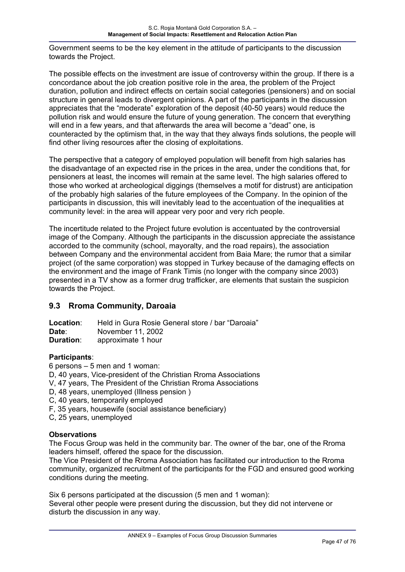Government seems to be the key element in the attitude of participants to the discussion towards the Project.

The possible effects on the investment are issue of controversy within the group. If there is a concordance about the job creation positive role in the area, the problem of the Project duration, pollution and indirect effects on certain social categories (pensioners) and on social structure in general leads to divergent opinions. A part of the participants in the discussion appreciates that the "moderate" exploration of the deposit (40-50 years) would reduce the pollution risk and would ensure the future of young generation. The concern that everything will end in a few years, and that afterwards the area will become a "dead" one, is counteracted by the optimism that, in the way that they always finds solutions, the people will find other living resources after the closing of exploitations.

The perspective that a category of employed population will benefit from high salaries has the disadvantage of an expected rise in the prices in the area, under the conditions that, for pensioners at least, the incomes will remain at the same level. The high salaries offered to those who worked at archeological diggings (themselves a motif for distrust) are anticipation of the probably high salaries of the future employees of the Company. In the opinion of the participants in discussion, this will inevitably lead to the accentuation of the inequalities at community level: in the area will appear very poor and very rich people.

The incertitude related to the Project future evolution is accentuated by the controversial image of the Company. Although the participants in the discussion appreciate the assistance accorded to the community (school, mayoralty, and the road repairs), the association between Company and the environmental accident from Baia Mare; the rumor that a similar project (of the same corporation) was stopped in Turkey because of the damaging effects on the environment and the image of Frank Timis (no longer with the company since 2003) presented in a TV show as a former drug trafficker, are elements that sustain the suspicion towards the Project.

## **9.3 Rroma Community, Daroaia**

| Location:        | Held in Gura Rosie General store / bar "Daroaia" |
|------------------|--------------------------------------------------|
| Date:            | November 11, 2002                                |
| <b>Duration:</b> | approximate 1 hour                               |

#### **Participants**:

6 persons – 5 men and 1 woman:

- D, 40 years, Vice-president of the Christian Rroma Associations
- V, 47 years, The President of the Christian Rroma Associations
- D, 48 years, unemployed (Illness pension )
- C, 40 years, temporarily employed
- F, 35 years, housewife (social assistance beneficiary)
- C, 25 years, unemployed

#### **Observations**

The Focus Group was held in the community bar. The owner of the bar, one of the Rroma leaders himself, offered the space for the discussion.

The Vice President of the Rroma Association has facilitated our introduction to the Rroma community, organized recruitment of the participants for the FGD and ensured good working conditions during the meeting.

Six 6 persons participated at the discussion (5 men and 1 woman): Several other people were present during the discussion, but they did not intervene or disturb the discussion in any way.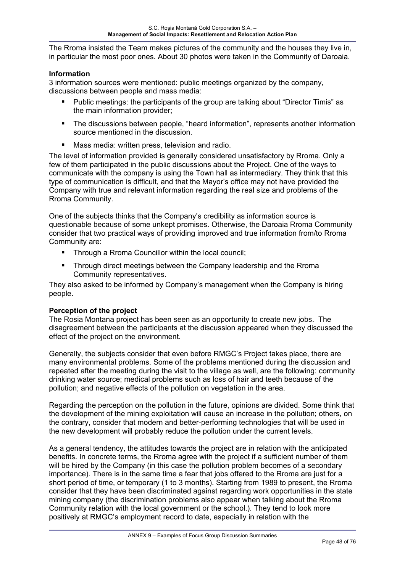The Rroma insisted the Team makes pictures of the community and the houses they live in, in particular the most poor ones. About 30 photos were taken in the Community of Daroaia.

#### **Information**

3 information sources were mentioned: public meetings organized by the company, discussions between people and mass media:

- Public meetings: the participants of the group are talking about "Director Timis" as the main information provider;
- The discussions between people, "heard information", represents another information source mentioned in the discussion.
- Mass media: written press, television and radio.

The level of information provided is generally considered unsatisfactory by Rroma. Only a few of them participated in the public discussions about the Project. One of the ways to communicate with the company is using the Town hall as intermediary. They think that this type of communication is difficult, and that the Mayor's office may not have provided the Company with true and relevant information regarding the real size and problems of the Rroma Community.

One of the subjects thinks that the Company's credibility as information source is questionable because of some unkept promises. Otherwise, the Daroaia Rroma Community consider that two practical ways of providing improved and true information from/to Rroma Community are:

- Through a Rroma Councillor within the local council;
- **Through direct meetings between the Company leadership and the Rroma** Community representatives.

They also asked to be informed by Company's management when the Company is hiring people.

#### **Perception of the project**

The Rosia Montana project has been seen as an opportunity to create new jobs. The disagreement between the participants at the discussion appeared when they discussed the effect of the project on the environment.

Generally, the subjects consider that even before RMGC's Project takes place, there are many environmental problems. Some of the problems mentioned during the discussion and repeated after the meeting during the visit to the village as well, are the following: community drinking water source; medical problems such as loss of hair and teeth because of the pollution; and negative effects of the pollution on vegetation in the area.

Regarding the perception on the pollution in the future, opinions are divided. Some think that the development of the mining exploitation will cause an increase in the pollution; others, on the contrary, consider that modern and better-performing technologies that will be used in the new development will probably reduce the pollution under the current levels.

As a general tendency, the attitudes towards the project are in relation with the anticipated benefits. In concrete terms, the Rroma agree with the project if a sufficient number of them will be hired by the Company (in this case the pollution problem becomes of a secondary importance). There is in the same time a fear that jobs offered to the Rroma are just for a short period of time, or temporary (1 to 3 months). Starting from 1989 to present, the Rroma consider that they have been discriminated against regarding work opportunities in the state mining company (the discrimination problems also appear when talking about the Rroma Community relation with the local government or the school.). They tend to look more positively at RMGC's employment record to date, especially in relation with the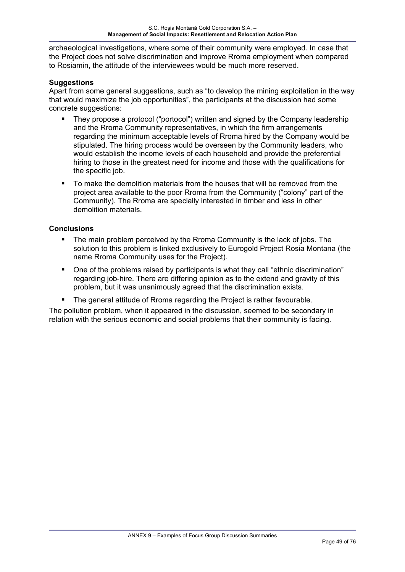archaeological investigations, where some of their community were employed. In case that the Project does not solve discrimination and improve Rroma employment when compared to Rosiamin, the attitude of the interviewees would be much more reserved.

#### **Suggestions**

Apart from some general suggestions, such as "to develop the mining exploitation in the way that would maximize the job opportunities", the participants at the discussion had some concrete suggestions:

- They propose a protocol ("portocol") written and signed by the Company leadership and the Rroma Community representatives, in which the firm arrangements regarding the minimum acceptable levels of Rroma hired by the Company would be stipulated. The hiring process would be overseen by the Community leaders, who would establish the income levels of each household and provide the preferential hiring to those in the greatest need for income and those with the qualifications for the specific job.
- To make the demolition materials from the houses that will be removed from the project area available to the poor Rroma from the Community ("colony" part of the Community). The Rroma are specially interested in timber and less in other demolition materials.

#### **Conclusions**

- **The main problem perceived by the Rroma Community is the lack of jobs. The** solution to this problem is linked exclusively to Eurogold Project Rosia Montana (the name Rroma Community uses for the Project).
- One of the problems raised by participants is what they call "ethnic discrimination" regarding job-hire. There are differing opinion as to the extend and gravity of this problem, but it was unanimously agreed that the discrimination exists.
- The general attitude of Rroma regarding the Project is rather favourable.

The pollution problem, when it appeared in the discussion, seemed to be secondary in relation with the serious economic and social problems that their community is facing.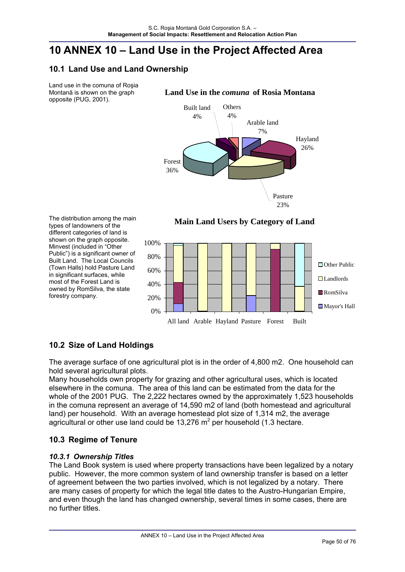# **10 ANNEX 10 – Land Use in the Project Affected Area**

## **10.1 Land Use and Land Ownership**

Land use in the comuna of Roşia Montană is shown on the graph opposite (PUG, 2001).

**Land Use in the** *comuna* **of Rosia Montana**



**Main Land Users by Category of Land**

The distribution among the main types of landowners of the different categories of land is shown on the graph opposite. Minvest (included in "Other Public") is a significant owner of Built Land. The Local Councils (Town Halls) hold Pasture Land in significant surfaces, while most of the Forest Land is owned by RomSilva, the state forestry company.



# **10.2 Size of Land Holdings**

The average surface of one agricultural plot is in the order of 4,800 m2. One household can hold several agricultural plots.

Many households own property for grazing and other agricultural uses, which is located elsewhere in the comuna. The area of this land can be estimated from the data for the whole of the 2001 PUG. The 2,222 hectares owned by the approximately 1,523 households in the comuna represent an average of 14,590 m2 of land (both homestead and agricultural land) per household. With an average homestead plot size of 1,314 m2, the average agricultural or other use land could be 13,276  $m^2$  per household (1.3 hectare.

# **10.3 Regime of Tenure**

### *10.3.1 Ownership Titles*

The Land Book system is used where property transactions have been legalized by a notary public. However, the more common system of land ownership transfer is based on a letter of agreement between the two parties involved, which is not legalized by a notary. There are many cases of property for which the legal title dates to the Austro-Hungarian Empire, and even though the land has changed ownership, several times in some cases, there are no further titles.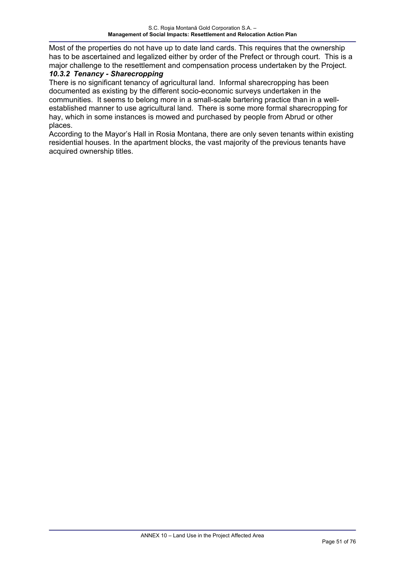Most of the properties do not have up to date land cards. This requires that the ownership has to be ascertained and legalized either by order of the Prefect or through court. This is a major challenge to the resettlement and compensation process undertaken by the Project.

### *10.3.2 Tenancy - Sharecropping*

There is no significant tenancy of agricultural land. Informal sharecropping has been documented as existing by the different socio-economic surveys undertaken in the communities. It seems to belong more in a small-scale bartering practice than in a wellestablished manner to use agricultural land. There is some more formal sharecropping for hay, which in some instances is mowed and purchased by people from Abrud or other places.

According to the Mayor's Hall in Rosia Montana, there are only seven tenants within existing residential houses. In the apartment blocks, the vast majority of the previous tenants have acquired ownership titles.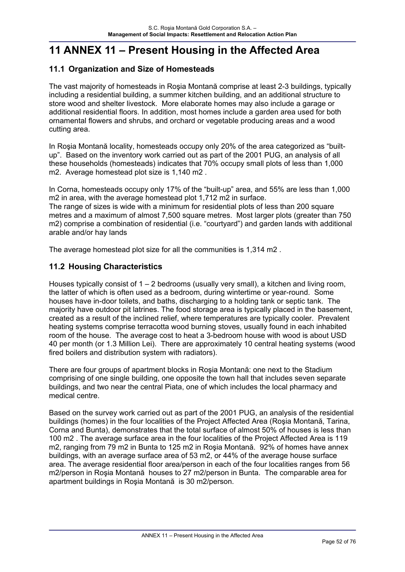# **11 ANNEX 11 – Present Housing in the Affected Area**

## **11.1 Organization and Size of Homesteads**

The vast majority of homesteads in Roşia Montană comprise at least 2-3 buildings, typically including a residential building, a summer kitchen building, and an additional structure to store wood and shelter livestock. More elaborate homes may also include a garage or additional residential floors. In addition, most homes include a garden area used for both ornamental flowers and shrubs, and orchard or vegetable producing areas and a wood cutting area.

In Roşia Montană locality, homesteads occupy only 20% of the area categorized as "builtup". Based on the inventory work carried out as part of the 2001 PUG, an analysis of all these households (homesteads) indicates that 70% occupy small plots of less than 1,000 m2. Average homestead plot size is 1,140 m2 .

In Corna, homesteads occupy only 17% of the "built-up" area, and 55% are less than 1,000 m2 in area, with the average homestead plot 1,712 m2 in surface.

The range of sizes is wide with a minimum for residential plots of less than 200 square metres and a maximum of almost 7,500 square metres. Most larger plots (greater than 750 m2) comprise a combination of residential (i.e. "courtyard") and garden lands with additional arable and/or hay lands

The average homestead plot size for all the communities is 1,314 m2 .

## **11.2 Housing Characteristics**

Houses typically consist of 1 – 2 bedrooms (usually very small), a kitchen and living room, the latter of which is often used as a bedroom, during wintertime or year-round. Some houses have in-door toilets, and baths, discharging to a holding tank or septic tank. The majority have outdoor pit latrines. The food storage area is typically placed in the basement, created as a result of the inclined relief, where temperatures are typically cooler. Prevalent heating systems comprise terracotta wood burning stoves, usually found in each inhabited room of the house. The average cost to heat a 3-bedroom house with wood is about USD 40 per month (or 1.3 Million Lei). There are approximately 10 central heating systems (wood fired boilers and distribution system with radiators).

There are four groups of apartment blocks in Roşia Montană: one next to the Stadium comprising of one single building, one opposite the town hall that includes seven separate buildings, and two near the central Piata, one of which includes the local pharmacy and medical centre.

Based on the survey work carried out as part of the 2001 PUG, an analysis of the residential buildings (homes) in the four localities of the Project Affected Area (Roşia Montană, Tarina, Corna and Bunta), demonstrates that the total surface of almost 50% of houses is less than 100 m2 . The average surface area in the four localities of the Project Affected Area is 119 m2, ranging from 79 m2 in Bunta to 125 m2 in Roşia Montană. 92% of homes have annex buildings, with an average surface area of 53 m2, or 44% of the average house surface area. The average residential floor area/person in each of the four localities ranges from 56 m2/person in Roşia Montană houses to 27 m2/person in Bunta. The comparable area for apartment buildings in Roşia Montană is 30 m2/person.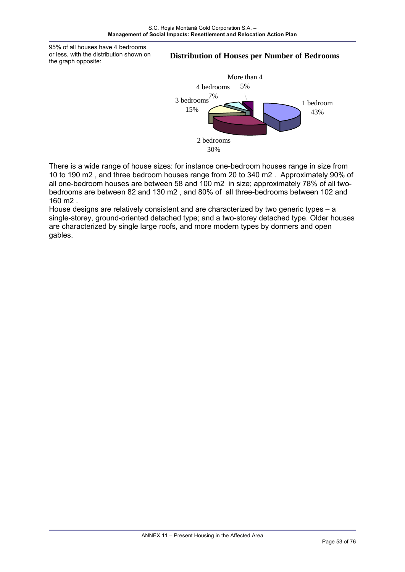95% of all houses have 4 bedrooms or less, with the distribution shown on the graph opposite:

#### **Distribution of Houses per Number of Bedrooms**



There is a wide range of house sizes: for instance one-bedroom houses range in size from 10 to 190 m2 , and three bedroom houses range from 20 to 340 m2 . Approximately 90% of all one-bedroom houses are between 58 and 100 m2 in size; approximately 78% of all twobedrooms are between 82 and 130 m2 , and 80% of all three-bedrooms between 102 and 160 m2 .

House designs are relatively consistent and are characterized by two generic types – a single-storey, ground-oriented detached type; and a two-storey detached type. Older houses are characterized by single large roofs, and more modern types by dormers and open gables.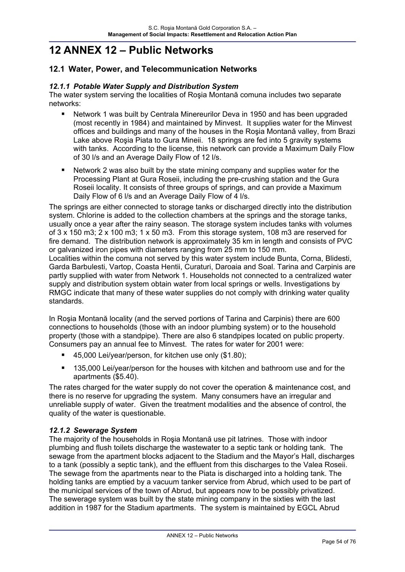# **12 ANNEX 12 – Public Networks**

## **12.1 Water, Power, and Telecommunication Networks**

#### *12.1.1 Potable Water Supply and Distribution System*

The water system serving the localities of Roşia Montană comuna includes two separate networks:

- Network 1 was built by Centrala Minereurilor Deva in 1950 and has been upgraded (most recently in 1984) and maintained by Minvest. It supplies water for the Minvest offices and buildings and many of the houses in the Roşia Montană valley, from Brazi Lake above Roşia Piata to Gura Mineii. 18 springs are fed into 5 gravity systems with tanks. According to the license, this network can provide a Maximum Daily Flow of 30 l/s and an Average Daily Flow of 12 l/s.
- Network 2 was also built by the state mining company and supplies water for the Processing Plant at Gura Roseii, including the pre-crushing station and the Gura Roseii locality. It consists of three groups of springs, and can provide a Maximum Daily Flow of 6 I/s and an Average Daily Flow of 4 I/s.

The springs are either connected to storage tanks or discharged directly into the distribution system. Chlorine is added to the collection chambers at the springs and the storage tanks, usually once a year after the rainy season. The storage system includes tanks with volumes of 3 x 150 m3; 2 x 100 m3; 1 x 50 m3. From this storage system, 108 m3 are reserved for fire demand. The distribution network is approximately 35 km in length and consists of PVC or galvanized iron pipes with diameters ranging from 25 mm to 150 mm. Localities within the comuna not served by this water system include Bunta, Corna, Blidesti, Garda Barbulesti, Vartop, Coasta Hentii, Curaturi, Daroaia and Soal. Tarina and Carpinis are partly supplied with water from Network 1. Households not connected to a centralized water supply and distribution system obtain water from local springs or wells. Investigations by RMGC indicate that many of these water supplies do not comply with drinking water quality standards.

In Roşia Montană locality (and the served portions of Tarina and Carpinis) there are 600 connections to households (those with an indoor plumbing system) or to the household property (those with a standpipe). There are also 6 standpipes located on public property. Consumers pay an annual fee to Minvest. The rates for water for 2001 were:

- 45,000 Lei/year/person, for kitchen use only (\$1.80);
- 135,000 Lei/year/person for the houses with kitchen and bathroom use and for the apartments (\$5.40).

The rates charged for the water supply do not cover the operation & maintenance cost, and there is no reserve for upgrading the system. Many consumers have an irregular and unreliable supply of water. Given the treatment modalities and the absence of control, the quality of the water is questionable.

### *12.1.2 Sewerage System*

The majority of the households in Roşia Montană use pit latrines. Those with indoor plumbing and flush toilets discharge the wastewater to a septic tank or holding tank. The sewage from the apartment blocks adjacent to the Stadium and the Mayor's Hall, discharges to a tank (possibly a septic tank), and the effluent from this discharges to the Valea Roseii. The sewage from the apartments near to the Piata is discharged into a holding tank. The holding tanks are emptied by a vacuum tanker service from Abrud, which used to be part of the municipal services of the town of Abrud, but appears now to be possibly privatized. The sewerage system was built by the state mining company in the sixties with the last addition in 1987 for the Stadium apartments. The system is maintained by EGCL Abrud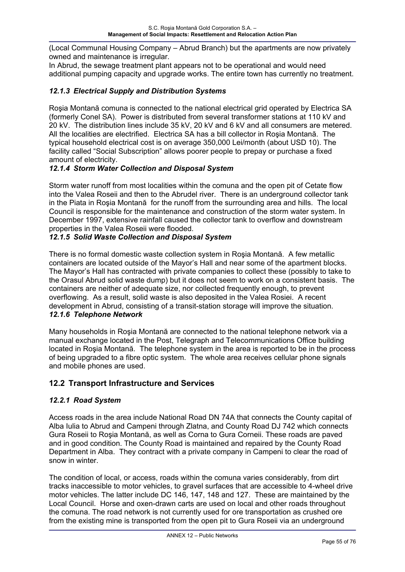(Local Communal Housing Company – Abrud Branch) but the apartments are now privately owned and maintenance is irregular.

In Abrud, the sewage treatment plant appears not to be operational and would need additional pumping capacity and upgrade works. The entire town has currently no treatment.

#### *12.1.3 Electrical Supply and Distribution Systems*

Roşia Montană comuna is connected to the national electrical grid operated by Electrica SA (formerly Conel SA). Power is distributed from several transformer stations at 110 kV and 20 kV. The distribution lines include 35 kV, 20 kV and 6 kV and all consumers are metered. All the localities are electrified. Electrica SA has a bill collector in Roşia Montană. The typical household electrical cost is on average 350,000 Lei/month (about USD 10). The facility called "Social Subscription" allows poorer people to prepay or purchase a fixed amount of electricity.

#### *12.1.4 Storm Water Collection and Disposal System*

Storm water runoff from most localities within the comuna and the open pit of Cetate flow into the Valea Roseii and then to the Abrudel river. There is an underground collector tank in the Piata in Roşia Montană for the runoff from the surrounding area and hills. The local Council is responsible for the maintenance and construction of the storm water system. In December 1997, extensive rainfall caused the collector tank to overflow and downstream properties in the Valea Roseii were flooded.

#### *12.1.5 Solid Waste Collection and Disposal System*

There is no formal domestic waste collection system in Roşia Montană. A few metallic containers are located outside of the Mayor's Hall and near some of the apartment blocks. The Mayor's Hall has contracted with private companies to collect these (possibly to take to the Orasul Abrud solid waste dump) but it does not seem to work on a consistent basis. The containers are neither of adequate size, nor collected frequently enough, to prevent overflowing. As a result, solid waste is also deposited in the Valea Rosiei. A recent development in Abrud, consisting of a transit-station storage will improve the situation. *12.1.6 Telephone Network* 

Many households in Roşia Montană are connected to the national telephone network via a manual exchange located in the Post, Telegraph and Telecommunications Office building located in Roşia Montană. The telephone system in the area is reported to be in the process of being upgraded to a fibre optic system. The whole area receives cellular phone signals and mobile phones are used.

### **12.2 Transport Infrastructure and Services**

#### *12.2.1 Road System*

Access roads in the area include National Road DN 74A that connects the County capital of Alba Iulia to Abrud and Campeni through Zlatna, and County Road DJ 742 which connects Gura Roseii to Roşia Montană, as well as Corna to Gura Corneii. These roads are paved and in good condition. The County Road is maintained and repaired by the County Road Department in Alba. They contract with a private company in Campeni to clear the road of snow in winter.

The condition of local, or access, roads within the comuna varies considerably, from dirt tracks inaccessible to motor vehicles, to gravel surfaces that are accessible to 4-wheel drive motor vehicles. The latter include DC 146, 147, 148 and 127. These are maintained by the Local Council. Horse and oxen-drawn carts are used on local and other roads throughout the comuna. The road network is not currently used for ore transportation as crushed ore from the existing mine is transported from the open pit to Gura Roseii via an underground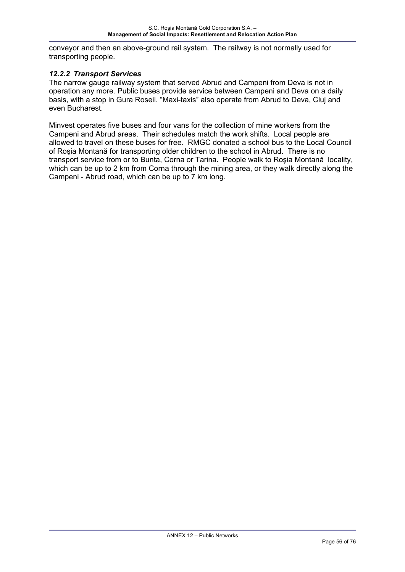conveyor and then an above-ground rail system. The railway is not normally used for transporting people.

#### *12.2.2 Transport Services*

The narrow gauge railway system that served Abrud and Campeni from Deva is not in operation any more. Public buses provide service between Campeni and Deva on a daily basis, with a stop in Gura Roseii. "Maxi-taxis" also operate from Abrud to Deva, Cluj and even Bucharest.

Minvest operates five buses and four vans for the collection of mine workers from the Campeni and Abrud areas. Their schedules match the work shifts. Local people are allowed to travel on these buses for free. RMGC donated a school bus to the Local Council of Roşia Montană for transporting older children to the school in Abrud. There is no transport service from or to Bunta, Corna or Tarina. People walk to Roşia Montană locality, which can be up to 2 km from Corna through the mining area, or they walk directly along the Campeni - Abrud road, which can be up to 7 km long.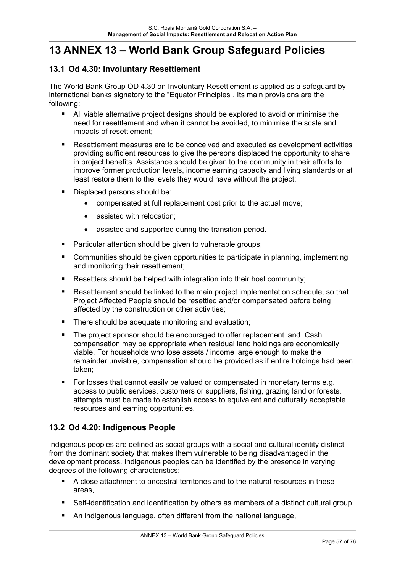# **13 ANNEX 13 – World Bank Group Safeguard Policies**

# **13.1 Od 4.30: Involuntary Resettlement**

The World Bank Group OD 4.30 on Involuntary Resettlement is applied as a safeguard by international banks signatory to the "Equator Principles". Its main provisions are the following:

- All viable alternative project designs should be explored to avoid or minimise the need for resettlement and when it cannot be avoided, to minimise the scale and impacts of resettlement;
- Resettlement measures are to be conceived and executed as development activities providing sufficient resources to give the persons displaced the opportunity to share in project benefits. Assistance should be given to the community in their efforts to improve former production levels, income earning capacity and living standards or at least restore them to the levels they would have without the project;
- Displaced persons should be:
	- compensated at full replacement cost prior to the actual move;
	- assisted with relocation;
	- assisted and supported during the transition period.
- **Particular attention should be given to vulnerable groups;**
- Communities should be given opportunities to participate in planning, implementing and monitoring their resettlement;
- Resettlers should be helped with integration into their host community;
- Resettlement should be linked to the main project implementation schedule, so that Project Affected People should be resettled and/or compensated before being affected by the construction or other activities;
- **There should be adequate monitoring and evaluation;**
- The project sponsor should be encouraged to offer replacement land. Cash compensation may be appropriate when residual land holdings are economically viable. For households who lose assets / income large enough to make the remainder unviable, compensation should be provided as if entire holdings had been taken;
- For losses that cannot easily be valued or compensated in monetary terms e.g. access to public services, customers or suppliers, fishing, grazing land or forests, attempts must be made to establish access to equivalent and culturally acceptable resources and earning opportunities.

## **13.2 Od 4.20: Indigenous People**

Indigenous peoples are defined as social groups with a social and cultural identity distinct from the dominant society that makes them vulnerable to being disadvantaged in the development process. Indigenous peoples can be identified by the presence in varying degrees of the following characteristics:

- A close attachment to ancestral territories and to the natural resources in these areas,
- Self-identification and identification by others as members of a distinct cultural group,
- An indigenous language, often different from the national language,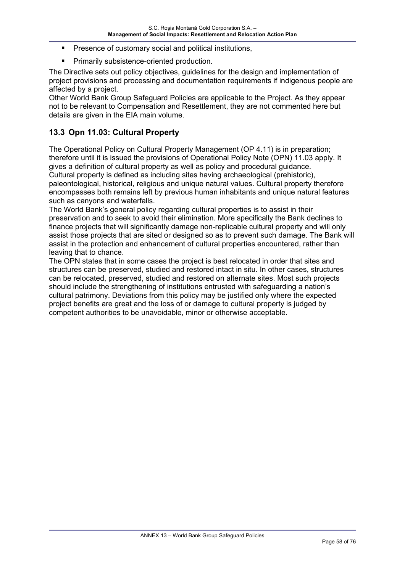- Presence of customary social and political institutions,
- Primarily subsistence-oriented production.

The Directive sets out policy objectives, guidelines for the design and implementation of project provisions and processing and documentation requirements if indigenous people are affected by a project.

Other World Bank Group Safeguard Policies are applicable to the Project. As they appear not to be relevant to Compensation and Resettlement, they are not commented here but details are given in the EIA main volume.

## **13.3 Opn 11.03: Cultural Property**

The Operational Policy on Cultural Property Management (OP 4.11) is in preparation; therefore until it is issued the provisions of Operational Policy Note (OPN) 11.03 apply. It gives a definition of cultural property as well as policy and procedural guidance. Cultural property is defined as including sites having archaeological (prehistoric), paleontological, historical, religious and unique natural values. Cultural property therefore encompasses both remains left by previous human inhabitants and unique natural features such as canyons and waterfalls.

The World Bank's general policy regarding cultural properties is to assist in their preservation and to seek to avoid their elimination. More specifically the Bank declines to finance projects that will significantly damage non-replicable cultural property and will only assist those projects that are sited or designed so as to prevent such damage. The Bank will assist in the protection and enhancement of cultural properties encountered, rather than leaving that to chance.

The OPN states that in some cases the project is best relocated in order that sites and structures can be preserved, studied and restored intact in situ. In other cases, structures can be relocated, preserved, studied and restored on alternate sites. Most such projects should include the strengthening of institutions entrusted with safeguarding a nation's cultural patrimony. Deviations from this policy may be justified only where the expected project benefits are great and the loss of or damage to cultural property is judged by competent authorities to be unavoidable, minor or otherwise acceptable.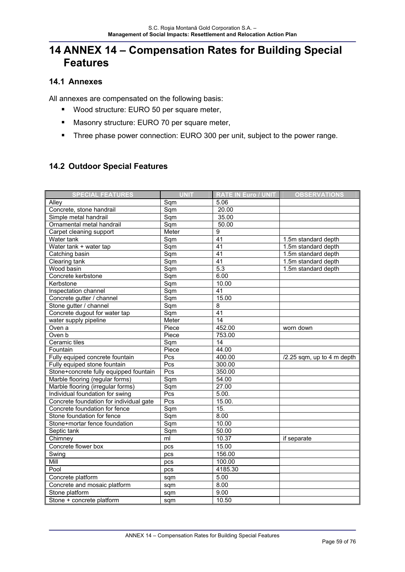# **14 ANNEX 14 – Compensation Rates for Building Special Features**

# **14.1 Annexes**

All annexes are compensated on the following basis:

- **Wood structure: EURO 50 per square meter,**
- Masonry structure: EURO 70 per square meter,
- **Three phase power connection: EURO 300 per unit, subject to the power range.**

## **14.2 Outdoor Special Features**

| <b>SPECIAL FEATURES</b>                 | <b>UNIT</b>                | <b>RATE IN Euro / UNIT</b> | <b>OBSERVATIONS</b>          |
|-----------------------------------------|----------------------------|----------------------------|------------------------------|
| Alley                                   | Sqm                        | 5.06                       |                              |
| Concrete, stone handrail                | S <sub>q</sub>             | 20.00                      |                              |
| Simple metal handrail                   | Sqm                        | 35.00                      |                              |
| Ornamental metal handrail               | Sqm                        | 50.00                      |                              |
| Carpet cleaning support                 | Meter                      | 9                          |                              |
| Water tank                              | Sqm                        | 41                         | 1.5m standard depth          |
| Water tank + water tap                  | Sqm                        | 41                         | 1.5m standard depth          |
| Catching basin                          | S <sub>q</sub>             | $\overline{41}$            | 1.5m standard depth          |
| Clearing tank                           | Sqm                        | 41                         | 1.5m standard depth          |
| Wood basin                              | Sqm                        | $\overline{5.3}$           | 1.5m standard depth          |
| Concrete kerbstone                      | Sqm                        | 6.00                       |                              |
| Kerbstone                               | Sqm                        | 10.00                      |                              |
| Inspectation channel                    | Sqm                        | 41                         |                              |
| Concrete gutter / channel               | Sqm                        | 15.00                      |                              |
| Stone gutter / channel                  | $\overline{\mathsf{Sq}}$ m | 8                          |                              |
| Concrete dugout for water tap           | $\overline{\mathsf{Sq}}$ m | $\overline{41}$            |                              |
| water supply pipeline                   | Meter                      | $\overline{14}$            |                              |
| Oven a                                  | Piece                      | 452.00                     | worn down                    |
| Oven b                                  | Piece                      | 753.00                     |                              |
| Ceramic tiles                           | Sqm                        | $\overline{14}$            |                              |
| Fountain                                | Piece                      | 44.00                      |                              |
| Fully equiped concrete fountain         | Pcs                        | 400.00                     | $/2.25$ sqm, up to 4 m depth |
| Fully equiped stone fountain            | Pcs                        | 300.00                     |                              |
| Stone+concrete fully equipped fountain  | Pcs                        | 350.00                     |                              |
| Marble flooring (regular forms)         | Sqm                        | 54.00                      |                              |
| Marble flooring (irregular forms)       | Sqm                        | 27.00                      |                              |
| Individual foundation for swing         | Pcs                        | 5.00.                      |                              |
| Concrete foundation for individual gate | $\overline{Pcs}$           | 15.00.                     |                              |
| Concrete foundation for fence           | Sqm                        | 15.                        |                              |
| Stone foundation for fence              | Sqm                        | 8.00                       |                              |
| Stone+mortar fence foundation           | Sqm                        | 10.00                      |                              |
| Septic tank                             | Sqm                        | 50.00                      |                              |
| Chimney                                 | ml                         | 10.37                      | if separate                  |
| Concrete flower box                     | pcs                        | 15.00                      |                              |
| Swing                                   | pcs                        | 156.00                     |                              |
| Mill                                    | pcs                        | 100.00                     |                              |
| Pool                                    | pcs                        | 4185.30                    |                              |
| Concrete platform                       | sqm                        | 5.00                       |                              |
| Concrete and mosaic platform            | sqm                        | 8.00                       |                              |
| Stone platform                          | sqm                        | 9.00                       |                              |
| Stone + concrete platform               | sqm                        | 10.50                      |                              |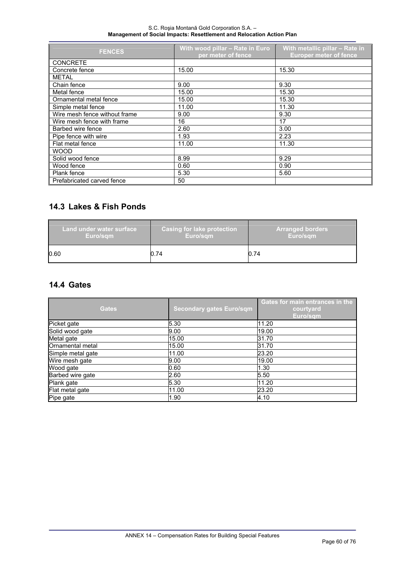#### S.C. Roşia Montană Gold Corporation S.A. – **Management of Social Impacts: Resettlement and Relocation Action Plan**

| <b>FENCES</b>                 | With wood pillar - Rate in Euro<br>per meter of fence | With metallic pillar - Rate in<br><b>Europer meter of fence</b> |
|-------------------------------|-------------------------------------------------------|-----------------------------------------------------------------|
| <b>CONCRETE</b>               |                                                       |                                                                 |
| Concrete fence                | 15.00                                                 | 15.30                                                           |
| <b>METAL</b>                  |                                                       |                                                                 |
| Chain fence                   | 9.00                                                  | 9.30                                                            |
| Metal fence                   | 15.00                                                 | 15.30                                                           |
| Ornamental metal fence        | 15.00                                                 | 15.30                                                           |
| Simple metal fence            | 11.00                                                 | 11.30                                                           |
| Wire mesh fence without frame | 9.00                                                  | 9.30                                                            |
| Wire mesh fence with frame    | 16                                                    | 17                                                              |
| Barbed wire fence             | 2.60                                                  | 3.00                                                            |
| Pipe fence with wire          | 1.93                                                  | 2.23                                                            |
| Flat metal fence              | 11.00                                                 | 11.30                                                           |
| <b>WOOD</b>                   |                                                       |                                                                 |
| Solid wood fence              | 8.99                                                  | 9.29                                                            |
| Wood fence                    | 0.60                                                  | 0.90                                                            |
| Plank fence                   | 5.30                                                  | 5.60                                                            |
| Prefabricated carved fence    | 50                                                    |                                                                 |

# **14.3 Lakes & Fish Ponds**

| Land under water surface, | <b>Casing for lake protection</b> | <b>Arranged borders</b> |
|---------------------------|-----------------------------------|-------------------------|
| Euro/sam                  | Euro/sam                          | Euro/sam                |
| 0.60                      | 0.74                              | 0.74                    |

### **14.4 Gates**

| <b>Gates</b>      | <b>Secondary gates Euro/sqm</b> | Gates for main entrances in the<br>courtyard<br>Euro/sqm |
|-------------------|---------------------------------|----------------------------------------------------------|
| Picket gate       | 5.30                            | 11.20                                                    |
| Solid wood gate   | 9.00                            | 19.00                                                    |
| Metal gate        | 15.00                           | 31.70                                                    |
| Ornamental metal  | 15.00                           | 31.70                                                    |
| Simple metal gate | 11.00                           | 23.20                                                    |
| Wire mesh gate    | 9.00                            | 19.00                                                    |
| Wood gate         | 0.60                            | 1.30                                                     |
| Barbed wire gate  | 2.60                            | 5.50                                                     |
| Plank gate        | 5.30                            | 11.20                                                    |
| Flat metal gate   | 11.00                           | 23.20                                                    |
| Pipe gate         | 1.90                            | 4.10                                                     |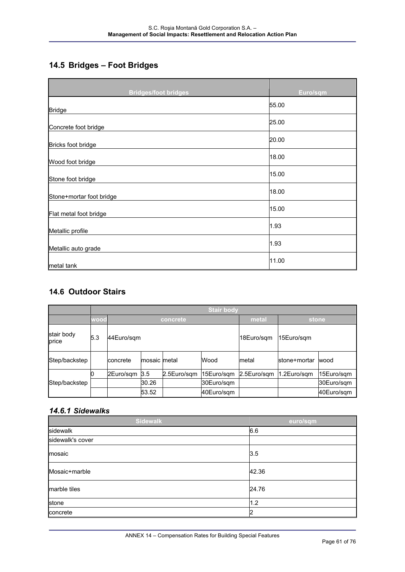# **14.5 Bridges – Foot Bridges**

| <b>Bridges/foot bridges</b> | Euro/sqm |
|-----------------------------|----------|
| <b>Bridge</b>               | 55.00    |
| Concrete foot bridge        | 25.00    |
| Bricks foot bridge          | 20.00    |
| Wood foot bridge            | 18.00    |
| Stone foot bridge           | 15.00    |
| Stone+mortar foot bridge    | 18.00    |
| Flat metal foot bridge      | 15.00    |
| Metallic profile            | 1.93     |
| Metallic auto grade         | 1.93     |
| metal tank                  | 11.00    |

## **14.6 Outdoor Stairs**

|                     |      | <b>Stair body</b> |              |             |            |             |              |            |
|---------------------|------|-------------------|--------------|-------------|------------|-------------|--------------|------------|
|                     | wood |                   | concrete     |             |            | metal       | stone        |            |
| stair body<br>price | 5.3  | 44Euro/sgm        |              |             |            | 18Euro/sgm  | 15Euro/sqm   |            |
| Step/backstep       |      | concrete          | mosaic metal |             | Wood       | metal       | stone+mortar | wood       |
|                     |      | 2Euro/sgm 3.5     |              | 2.5Euro/sqm | 15Euro/sgm | 2.5Euro/sgm | 1.2Euro/sqm  | 15Euro/sqm |
| Step/backstep       |      |                   | 30.26        |             | 30Euro/sgm |             |              | 30Euro/sqm |
|                     |      |                   | 53.52        |             | 40Euro/sgm |             |              | 40Euro/sqm |

#### *14.6.1 Sidewalks*

| <b>Sidewalk</b>  | euro/sqm |
|------------------|----------|
| sidewalk         | 6.6      |
| sidewalk's cover |          |
| mosaic           | 3.5      |
| Mosaic+marble    | 42.36    |
| marble tiles     | 24.76    |
| stone            | 1.2      |
| concrete         | 12       |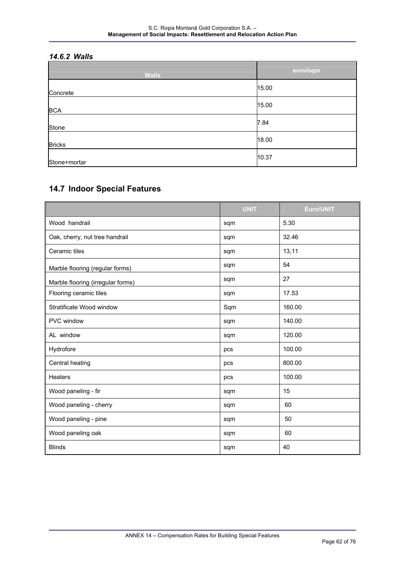# *14.6.2 Walls*

| <b>Walls</b>  | euro/sqm |
|---------------|----------|
| Concrete      | 15.00    |
| <b>BCA</b>    | 15.00    |
| Stone         | 7.84     |
| <b>Bricks</b> | 18.00    |
| Stone+mortar  | 10.37    |

## **14.7 Indoor Special Features**

|                                   | <b>UNIT</b> | <b>Euro/UNIT</b> |
|-----------------------------------|-------------|------------------|
| Wood handrail                     | sqm         | 5.30             |
| Oak, cherry, nut tree handrail    | sqm         | 32.46            |
| Ceramic tiles                     | sqm         | 13,11            |
| Marble flooring (regular forms)   | sqm         | 54               |
| Marble flooring (irregular forms) | sqm         | 27               |
| Flooring ceramic tiles            | sqm         | 17.53            |
| Stratificate Wood window          | Sqm         | 160.00           |
| PVC window                        | sqm         | 140.00           |
| AL window                         | sqm         | 120.00           |
| Hydrofore                         | pcs         | 100.00           |
| Central heating                   | pcs         | 800.00           |
| Heaters                           | pcs         | 100.00           |
| Wood paneling - fir               | sqm         | 15               |
| Wood paneling - cherry            | sqm         | 60               |
| Wood paneling - pine              | sqm         | 50               |
| Wood paneling oak                 | sqm         | 60               |
| <b>Blinds</b>                     | sqm         | 40               |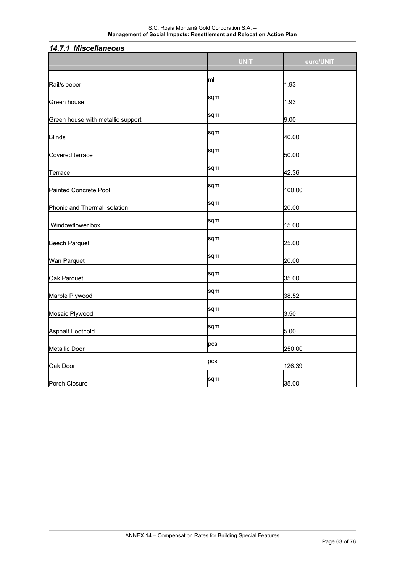| 17.1.1 MISUCHANGUUS               |             |           |
|-----------------------------------|-------------|-----------|
|                                   | <b>UNIT</b> | euro/UNIT |
| Rail/sleeper                      | lml         | 1.93      |
| Green house                       | sqm         | 1.93      |
| Green house with metallic support | sqm         | 9.00      |
| <b>Blinds</b>                     | sqm         | 40.00     |
| Covered terrace                   | sqm         | 50.00     |
| Terrace                           | sqm         | 42.36     |
| Painted Concrete Pool             | sqm         | 100.00    |
| Phonic and Thermal Isolation      | sqm         | 20.00     |
| Windowflower box                  | sqm         | 15.00     |
| <b>Beech Parquet</b>              | sqm         | 25.00     |
| Wan Parquet                       | sqm         | 20.00     |
| Oak Parquet                       | sqm         | 35.00     |
| Marble Plywood                    | sqm         | 38.52     |
| Mosaic Plywood                    | sqm         | 3.50      |
| <b>Asphalt Foothold</b>           | sqm         | 5.00      |
| <b>Metallic Door</b>              | pcs         | 250.00    |
| Oak Door                          | pcs         | 126.39    |
| Porch Closure                     | sqm         | 35.00     |

## *14.7.1 Miscellaneous*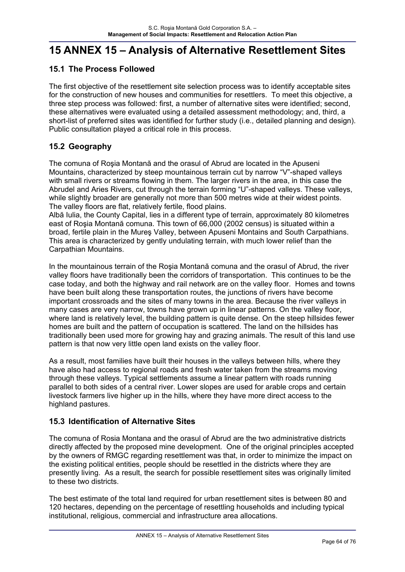# **15 ANNEX 15 – Analysis of Alternative Resettlement Sites**

## **15.1 The Process Followed**

The first objective of the resettlement site selection process was to identify acceptable sites for the construction of new houses and communities for resettlers. To meet this objective, a three step process was followed: first, a number of alternative sites were identified; second, these alternatives were evaluated using a detailed assessment methodology; and, third, a short-list of preferred sites was identified for further study (i.e., detailed planning and design). Public consultation played a critical role in this process.

# **15.2 Geography**

The comuna of Roşia Montană and the orasul of Abrud are located in the Apuseni Mountains, characterized by steep mountainous terrain cut by narrow "V"-shaped valleys with small rivers or streams flowing in them. The larger rivers in the area, in this case the Abrudel and Aries Rivers, cut through the terrain forming "U"-shaped valleys. These valleys, while slightly broader are generally not more than 500 metres wide at their widest points. The valley floors are flat, relatively fertile, flood plains.

Albă Iulia, the County Capital, lies in a different type of terrain, approximately 80 kilometres east of Roşia Montană comuna. This town of 66,000 (2002 census) is situated within a broad, fertile plain in the Mureş Valley, between Apuseni Montains and South Carpathians. This area is characterized by gently undulating terrain, with much lower relief than the Carpathian Mountains.

In the mountainous terrain of the Roşia Montană comuna and the orasul of Abrud, the river valley floors have traditionally been the corridors of transportation. This continues to be the case today, and both the highway and rail network are on the valley floor. Homes and towns have been built along these transportation routes, the junctions of rivers have become important crossroads and the sites of many towns in the area. Because the river valleys in many cases are very narrow, towns have grown up in linear patterns. On the valley floor, where land is relatively level, the building pattern is quite dense. On the steep hillsides fewer homes are built and the pattern of occupation is scattered. The land on the hillsides has traditionally been used more for growing hay and grazing animals. The result of this land use pattern is that now very little open land exists on the valley floor.

As a result, most families have built their houses in the valleys between hills, where they have also had access to regional roads and fresh water taken from the streams moving through these valleys. Typical settlements assume a linear pattern with roads running parallel to both sides of a central river. Lower slopes are used for arable crops and certain livestock farmers live higher up in the hills, where they have more direct access to the highland pastures.

## **15.3 Identification of Alternative Sites**

The comuna of Rosia Montana and the orasul of Abrud are the two administrative districts directly affected by the proposed mine development. One of the original principles accepted by the owners of RMGC regarding resettlement was that, in order to minimize the impact on the existing political entities, people should be resettled in the districts where they are presently living. As a result, the search for possible resettlement sites was originally limited to these two districts.

The best estimate of the total land required for urban resettlement sites is between 80 and 120 hectares, depending on the percentage of resettling households and including typical institutional, religious, commercial and infrastructure area allocations.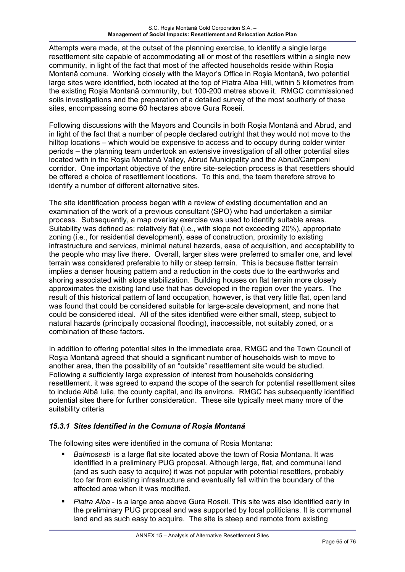Attempts were made, at the outset of the planning exercise, to identify a single large resettlement site capable of accommodating all or most of the resettlers within a single new community, in light of the fact that most of the affected households reside within Roşia Montană comuna. Working closely with the Mayor's Office in Roşia Montană, two potential large sites were identified, both located at the top of Piatra Alba Hill, within 5 kilometres from the existing Roşia Montană community, but 100-200 metres above it. RMGC commissioned soils investigations and the preparation of a detailed survey of the most southerly of these sites, encompassing some 60 hectares above Gura Roseii.

Following discussions with the Mayors and Councils in both Roşia Montană and Abrud, and in light of the fact that a number of people declared outright that they would not move to the hilltop locations – which would be expensive to access and to occupy during colder winter periods – the planning team undertook an extensive investigation of all other potential sites located with in the Roşia Montană Valley, Abrud Municipality and the Abrud/Campeni corridor. One important objective of the entire site-selection process is that resettlers should be offered a choice of resettlement locations. To this end, the team therefore strove to identify a number of different alternative sites.

The site identification process began with a review of existing documentation and an examination of the work of a previous consultant (SPO) who had undertaken a similar process. Subsequently, a map overlay exercise was used to identify suitable areas. Suitability was defined as: relatively flat (i.e., with slope not exceeding 20%), appropriate zoning (i.e., for residential development), ease of construction, proximity to existing infrastructure and services, minimal natural hazards, ease of acquisition, and acceptability to the people who may live there. Overall, larger sites were preferred to smaller one, and level terrain was considered preferable to hilly or steep terrain. This is because flatter terrain implies a denser housing pattern and a reduction in the costs due to the earthworks and shoring associated with slope stabilization. Building houses on flat terrain more closely approximates the existing land use that has developed in the region over the years. The result of this historical pattern of land occupation, however, is that very little flat, open land was found that could be considered suitable for large-scale development, and none that could be considered ideal. All of the sites identified were either small, steep, subject to natural hazards (principally occasional flooding), inaccessible, not suitably zoned, or a combination of these factors.

In addition to offering potential sites in the immediate area, RMGC and the Town Council of Roşia Montană agreed that should a significant number of households wish to move to another area, then the possibility of an "outside" resettlement site would be studied. Following a sufficiently large expression of interest from households considering resettlement, it was agreed to expand the scope of the search for potential resettlement sites to include Albă Iulia, the county capital, and its environs. RMGC has subsequently identified potential sites there for further consideration. These site typically meet many more of the suitability criteria

## *15.3.1 Sites Identified in the Comuna of Roşia Montană*

The following sites were identified in the comuna of Rosia Montana:

- *Balmosesti* is a large flat site located above the town of Rosia Montana. It was identified in a preliminary PUG proposal. Although large, flat, and communal land (and as such easy to acquire) it was not popular with potential resettlers, probably too far from existing infrastructure and eventually fell within the boundary of the affected area when it was modified.
- *Piatra Alba* is a large area above Gura Roseii. This site was also identified early in the preliminary PUG proposal and was supported by local politicians. It is communal land and as such easy to acquire. The site is steep and remote from existing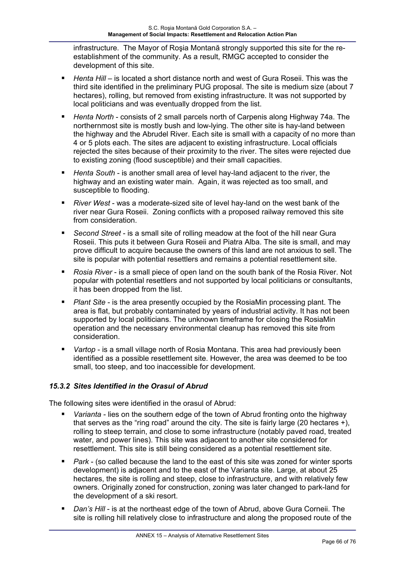infrastructure. The Mayor of Roşia Montană strongly supported this site for the reestablishment of the community. As a result, RMGC accepted to consider the development of this site.

- *Henta Hill* is located a short distance north and west of Gura Roseii. This was the third site identified in the preliminary PUG proposal. The site is medium size (about 7 hectares), rolling, but removed from existing infrastructure. It was not supported by local politicians and was eventually dropped from the list.
- *Henta North* consists of 2 small parcels north of Carpenis along Highway 74a. The northernmost site is mostly bush and low-lying. The other site is hay-land between the highway and the Abrudel River. Each site is small with a capacity of no more than 4 or 5 plots each. The sites are adjacent to existing infrastructure. Local officials rejected the sites because of their proximity to the river. The sites were rejected due to existing zoning (flood susceptible) and their small capacities.
- *Henta South* is another small area of level hay-land adjacent to the river, the highway and an existing water main. Again, it was rejected as too small, and susceptible to flooding.
- *River West* was a moderate-sized site of level hay-land on the west bank of the river near Gura Roseii. Zoning conflicts with a proposed railway removed this site from consideration.
- *Second Street* is a small site of rolling meadow at the foot of the hill near Gura Roseii. This puts it between Gura Roseii and Piatra Alba. The site is small, and may prove difficult to acquire because the owners of this land are not anxious to sell. The site is popular with potential resettlers and remains a potential resettlement site.
- *Rosia River* is a small piece of open land on the south bank of the Rosia River. Not popular with potential resettlers and not supported by local politicians or consultants, it has been dropped from the list.
- *Plant Site* is the area presently occupied by the RosiaMin processing plant. The area is flat, but probably contaminated by years of industrial activity. It has not been supported by local politicians. The unknown timeframe for closing the RosiaMin operation and the necessary environmental cleanup has removed this site from consideration.
- *Vartop* is a small village north of Rosia Montana. This area had previously been identified as a possible resettlement site. However, the area was deemed to be too small, too steep, and too inaccessible for development.

### *15.3.2 Sites Identified in the Orasul of Abrud*

The following sites were identified in the orasul of Abrud:

- *Varianta* lies on the southern edge of the town of Abrud fronting onto the highway that serves as the "ring road" around the city. The site is fairly large (20 hectares  $+i$ ), rolling to steep terrain, and close to some infrastructure (notably paved road, treated water, and power lines). This site was adjacent to another site considered for resettlement. This site is still being considered as a potential resettlement site.
- *Park* (so called because the land to the east of this site was zoned for winter sports development) is adjacent and to the east of the Varianta site. Large, at about 25 hectares, the site is rolling and steep, close to infrastructure, and with relatively few owners. Originally zoned for construction, zoning was later changed to park-land for the development of a ski resort.
- *Dan's Hill* is at the northeast edge of the town of Abrud, above Gura Corneii. The site is rolling hill relatively close to infrastructure and along the proposed route of the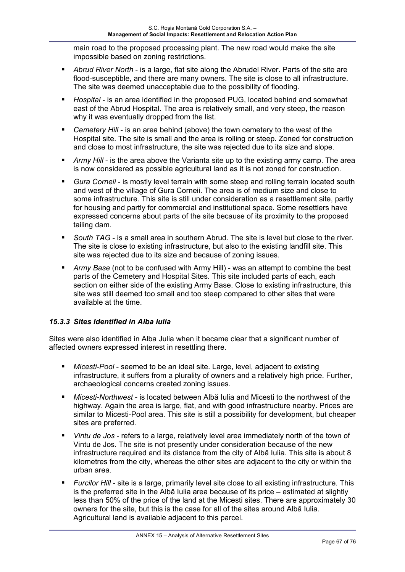main road to the proposed processing plant. The new road would make the site impossible based on zoning restrictions.

- *Abrud River North* is a large, flat site along the Abrudel River. Parts of the site are flood-susceptible, and there are many owners. The site is close to all infrastructure. The site was deemed unacceptable due to the possibility of flooding.
- *Hospital* is an area identified in the proposed PUG, located behind and somewhat east of the Abrud Hospital. The area is relatively small, and very steep, the reason why it was eventually dropped from the list.
- *Cemetery Hill* is an area behind (above) the town cemetery to the west of the Hospital site. The site is small and the area is rolling or steep. Zoned for construction and close to most infrastructure, the site was rejected due to its size and slope.
- *Army Hill* is the area above the Varianta site up to the existing army camp. The area is now considered as possible agricultural land as it is not zoned for construction.
- *Gura Corneii* is mostly level terrain with some steep and rolling terrain located south and west of the village of Gura Corneii. The area is of medium size and close to some infrastructure. This site is still under consideration as a resettlement site, partly for housing and partly for commercial and institutional space. Some resettlers have expressed concerns about parts of the site because of its proximity to the proposed tailing dam.
- *South TAG* is a small area in southern Abrud. The site is level but close to the river. The site is close to existing infrastructure, but also to the existing landfill site. This site was rejected due to its size and because of zoning issues.
- *Army Base* (not to be confused with Army Hill) was an attempt to combine the best parts of the Cemetery and Hospital Sites. This site included parts of each, each section on either side of the existing Army Base. Close to existing infrastructure, this site was still deemed too small and too steep compared to other sites that were available at the time.

### *15.3.3 Sites Identified in Alba Iulia*

Sites were also identified in Alba Julia when it became clear that a significant number of affected owners expressed interest in resettling there.

- *Micesti-Pool* seemed to be an ideal site. Large, level, adjacent to existing infrastructure, it suffers from a plurality of owners and a relatively high price. Further, archaeological concerns created zoning issues.
- *Micesti-Northwest* is located between Albă Iulia and Micesti to the northwest of the highway. Again the area is large, flat, and with good infrastructure nearby. Prices are similar to Micesti-Pool area. This site is still a possibility for development, but cheaper sites are preferred.
- *Vintu de Jos* refers to a large, relatively level area immediately north of the town of Vintu de Jos. The site is not presently under consideration because of the new infrastructure required and its distance from the city of Albă Iulia. This site is about 8 kilometres from the city, whereas the other sites are adjacent to the city or within the urban area.
- *Furcilor Hill* site is a large, primarily level site close to all existing infrastructure. This is the preferred site in the Albă Iulia area because of its price – estimated at slightly less than 50% of the price of the land at the Micesti sites. There are approximately 30 owners for the site, but this is the case for all of the sites around Albă Iulia. Agricultural land is available adjacent to this parcel.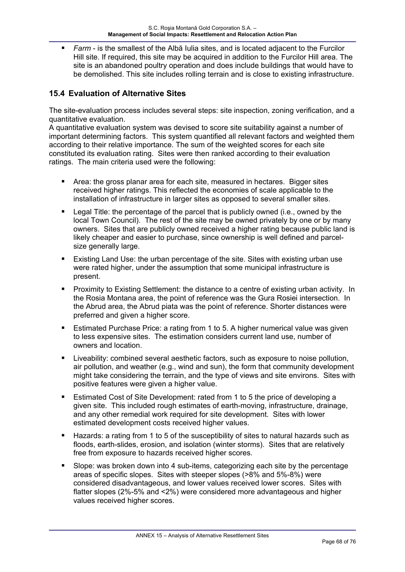*Farm* - is the smallest of the Albă Iulia sites, and is located adjacent to the Furcilor Hill site. If required, this site may be acquired in addition to the Furcilor Hill area. The site is an abandoned poultry operation and does include buildings that would have to be demolished. This site includes rolling terrain and is close to existing infrastructure.

## **15.4 Evaluation of Alternative Sites**

The site-evaluation process includes several steps: site inspection, zoning verification, and a quantitative evaluation.

A quantitative evaluation system was devised to score site suitability against a number of important determining factors. This system quantified all relevant factors and weighted them according to their relative importance. The sum of the weighted scores for each site constituted its evaluation rating. Sites were then ranked according to their evaluation ratings. The main criteria used were the following:

- Area: the gross planar area for each site, measured in hectares. Bigger sites received higher ratings. This reflected the economies of scale applicable to the installation of infrastructure in larger sites as opposed to several smaller sites.
- Legal Title: the percentage of the parcel that is publicly owned (i.e., owned by the local Town Council). The rest of the site may be owned privately by one or by many owners. Sites that are publicly owned received a higher rating because public land is likely cheaper and easier to purchase, since ownership is well defined and parcelsize generally large.
- Existing Land Use: the urban percentage of the site. Sites with existing urban use were rated higher, under the assumption that some municipal infrastructure is present.
- **Proximity to Existing Settlement: the distance to a centre of existing urban activity. In** the Rosia Montana area, the point of reference was the Gura Rosiei intersection. In the Abrud area, the Abrud piata was the point of reference. Shorter distances were preferred and given a higher score.
- Estimated Purchase Price: a rating from 1 to 5. A higher numerical value was given to less expensive sites. The estimation considers current land use, number of owners and location.
- Liveability: combined several aesthetic factors, such as exposure to noise pollution, air pollution, and weather (e.g., wind and sun), the form that community development might take considering the terrain, and the type of views and site environs. Sites with positive features were given a higher value.
- Estimated Cost of Site Development: rated from 1 to 5 the price of developing a given site. This included rough estimates of earth-moving, infrastructure, drainage, and any other remedial work required for site development. Sites with lower estimated development costs received higher values.
- Hazards: a rating from 1 to 5 of the susceptibility of sites to natural hazards such as floods, earth-slides, erosion, and isolation (winter storms). Sites that are relatively free from exposure to hazards received higher scores.
- Slope: was broken down into 4 sub-items, categorizing each site by the percentage areas of specific slopes. Sites with steeper slopes (>8% and 5%-8%) were considered disadvantageous, and lower values received lower scores. Sites with flatter slopes (2%-5% and <2%) were considered more advantageous and higher values received higher scores.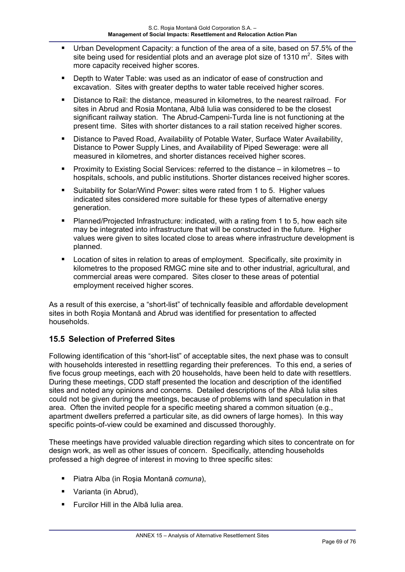- Urban Development Capacity: a function of the area of a site, based on 57.5% of the site being used for residential plots and an average plot size of 1310  $m^2$ . Sites with more capacity received higher scores.
- Depth to Water Table: was used as an indicator of ease of construction and excavation. Sites with greater depths to water table received higher scores.
- Distance to Rail: the distance, measured in kilometres, to the nearest railroad. For sites in Abrud and Rosia Montana, Albă Iulia was considered to be the closest significant railway station. The Abrud-Campeni-Turda line is not functioning at the present time. Sites with shorter distances to a rail station received higher scores.
- **Distance to Paved Road, Availability of Potable Water, Surface Water Availability,** Distance to Power Supply Lines, and Availability of Piped Sewerage: were all measured in kilometres, and shorter distances received higher scores.
- Proximity to Existing Social Services: referred to the distance in kilometres to hospitals, schools, and public institutions. Shorter distances received higher scores.
- Suitability for Solar/Wind Power: sites were rated from 1 to 5. Higher values indicated sites considered more suitable for these types of alternative energy generation.
- Planned/Projected Infrastructure: indicated, with a rating from 1 to 5, how each site may be integrated into infrastructure that will be constructed in the future. Higher values were given to sites located close to areas where infrastructure development is planned.
- Location of sites in relation to areas of employment. Specifically, site proximity in kilometres to the proposed RMGC mine site and to other industrial, agricultural, and commercial areas were compared. Sites closer to these areas of potential employment received higher scores.

As a result of this exercise, a "short-list" of technically feasible and affordable development sites in both Roşia Montană and Abrud was identified for presentation to affected households.

## **15.5 Selection of Preferred Sites**

Following identification of this "short-list" of acceptable sites, the next phase was to consult with households interested in resettling regarding their preferences. To this end, a series of five focus group meetings, each with 20 households, have been held to date with resettlers. During these meetings, CDD staff presented the location and description of the identified sites and noted any opinions and concerns. Detailed descriptions of the Albă Iulia sites could not be given during the meetings, because of problems with land speculation in that area. Often the invited people for a specific meeting shared a common situation (e.g., apartment dwellers preferred a particular site, as did owners of large homes). In this way specific points-of-view could be examined and discussed thoroughly.

These meetings have provided valuable direction regarding which sites to concentrate on for design work, as well as other issues of concern. Specifically, attending households professed a high degree of interest in moving to three specific sites:

- Piatra Alba (in Roşia Montană *comuna*),
- Varianta (in Abrud),
- **Furcilor Hill in the Albă Iulia area.**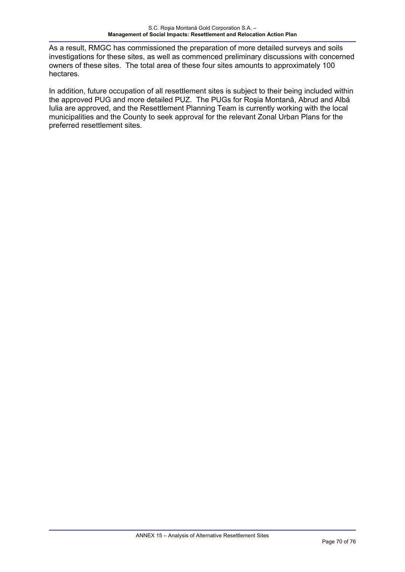As a result, RMGC has commissioned the preparation of more detailed surveys and soils investigations for these sites, as well as commenced preliminary discussions with concerned owners of these sites. The total area of these four sites amounts to approximately 100 hectares.

In addition, future occupation of all resettlement sites is subject to their being included within the approved PUG and more detailed PUZ. The PUGs for Roşia Montană, Abrud and Albă Iulia are approved, and the Resettlement Planning Team is currently working with the local municipalities and the County to seek approval for the relevant Zonal Urban Plans for the preferred resettlement sites.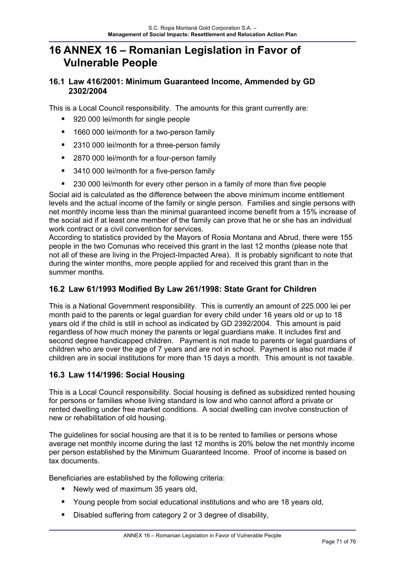# **16 ANNEX 16 – Romanian Legislation in Favor of Vulnerable People**

## **16.1 Law 416/2001: Minimum Guaranteed Income, Ammended by GD 2302/2004**

This is a Local Council responsibility. The amounts for this grant currently are:

- 920 000 lei/month for single people
- 1660 000 lei/month for a two-person family
- 2310 000 lei/month for a three-person family
- 2870 000 lei/month for a four-person family
- 3410 000 lei/month for a five-person family
- 230 000 lei/month for every other person in a family of more than five people

Social aid is calculated as the difference between the above minimum income entitlement levels and the actual income of the family or single person. Families and single persons with net monthly income less than the minimal guaranteed income benefit from a 15% increase of the social aid if at least one member of the family can prove that he or she has an individual work contract or a civil convention for services.

According to statistics provided by the Mayors of Rosia Montana and Abrud, there were 155 people in the two Comunas who received this grant in the last 12 months (please note that not all of these are living in the Project-Impacted Area). It is probably significant to note that during the winter months, more people applied for and received this grant than in the summer months.

## **16.2 Law 61/1993 Modified By Law 261/1998: State Grant for Children**

This is a National Government responsibility. This is currently an amount of 225.000 lei per month paid to the parents or legal guardian for every child under 16 years old or up to 18 years old if the child is still in school as indicated by GD 2392/2004. This amount is paid regardless of how much money the parents or legal guardians make. It includes first and second degree handicapped children. Payment is not made to parents or legal guardians of children who are over the age of 7 years and are not in school. Payment is also not made if children are in social institutions for more than 15 days a month. This amount is not taxable.

## **16.3 Law 114/1996: Social Housing**

This is a Local Council responsibility. Social housing is defined as subsidized rented housing for persons or families whose living standard is low and who cannot afford a private or rented dwelling under free market conditions. A social dwelling can involve construction of new or rehabilitation of old housing.

The guidelines for social housing are that it is to be rented to families or persons whose average net monthly income during the last 12 months is 20% below the net monthly income per person established by the Minimum Guaranteed Income. Proof of income is based on tax documents.

Beneficiaries are established by the following criteria:

- Newly wed of maximum 35 years old,
- Young people from social educational institutions and who are 18 years old,
- Disabled suffering from category 2 or 3 degree of disability,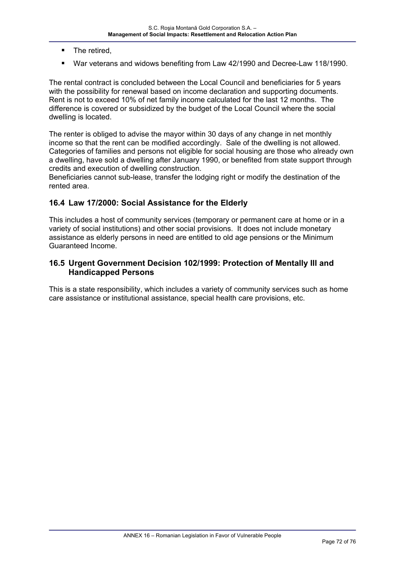- The retired.
- War veterans and widows benefiting from Law 42/1990 and Decree-Law 118/1990.

The rental contract is concluded between the Local Council and beneficiaries for 5 years with the possibility for renewal based on income declaration and supporting documents. Rent is not to exceed 10% of net family income calculated for the last 12 months. The difference is covered or subsidized by the budget of the Local Council where the social dwelling is located.

The renter is obliged to advise the mayor within 30 days of any change in net monthly income so that the rent can be modified accordingly. Sale of the dwelling is not allowed. Categories of families and persons not eligible for social housing are those who already own a dwelling, have sold a dwelling after January 1990, or benefited from state support through credits and execution of dwelling construction.

Beneficiaries cannot sub-lease, transfer the lodging right or modify the destination of the rented area.

#### **16.4 Law 17/2000: Social Assistance for the Elderly**

This includes a host of community services (temporary or permanent care at home or in a variety of social institutions) and other social provisions. It does not include monetary assistance as elderly persons in need are entitled to old age pensions or the Minimum Guaranteed Income.

#### **16.5 Urgent Government Decision 102/1999: Protection of Mentally Ill and Handicapped Persons**

This is a state responsibility, which includes a variety of community services such as home care assistance or institutional assistance, special health care provisions, etc.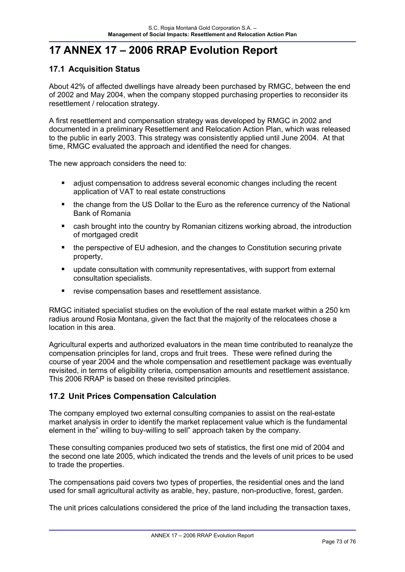## **17 ANNEX 17 – 2006 RRAP Evolution Report**

### **17.1 Acquisition Status**

About 42% of affected dwellings have already been purchased by RMGC, between the end of 2002 and May 2004, when the company stopped purchasing properties to reconsider its resettlement / relocation strategy.

A first resettlement and compensation strategy was developed by RMGC in 2002 and documented in a preliminary Resettlement and Relocation Action Plan, which was released to the public in early 2003. This strategy was consistently applied until June 2004. At that time, RMGC evaluated the approach and identified the need for changes.

The new approach considers the need to:

- adjust compensation to address several economic changes including the recent application of VAT to real estate constructions
- the change from the US Dollar to the Euro as the reference currency of the National Bank of Romania
- **E** cash brought into the country by Romanian citizens working abroad, the introduction of mortgaged credit
- the perspective of EU adhesion, and the changes to Constitution securing private property,
- **update consultation with community representatives, with support from external** consultation specialists.
- revise compensation bases and resettlement assistance.

RMGC initiated specialist studies on the evolution of the real estate market within a 250 km radius around Rosia Montana, given the fact that the majority of the relocatees chose a location in this area.

Agricultural experts and authorized evaluators in the mean time contributed to reanalyze the compensation principles for land, crops and fruit trees. These were refined during the course of year 2004 and the whole compensation and resettlement package was eventually revisited, in terms of eligibility criteria, compensation amounts and resettlement assistance. This 2006 RRAP is based on these revisited principles.

### **17.2 Unit Prices Compensation Calculation**

The company employed two external consulting companies to assist on the real-estate market analysis in order to identify the market replacement value which is the fundamental element in the" willing to buy-willing to sell" approach taken by the company.

These consulting companies produced two sets of statistics, the first one mid of 2004 and the second one late 2005, which indicated the trends and the levels of unit prices to be used to trade the properties.

The compensations paid covers two types of properties, the residential ones and the land used for small agricultural activity as arable, hey, pasture, non-productive, forest, garden.

The unit prices calculations considered the price of the land including the transaction taxes,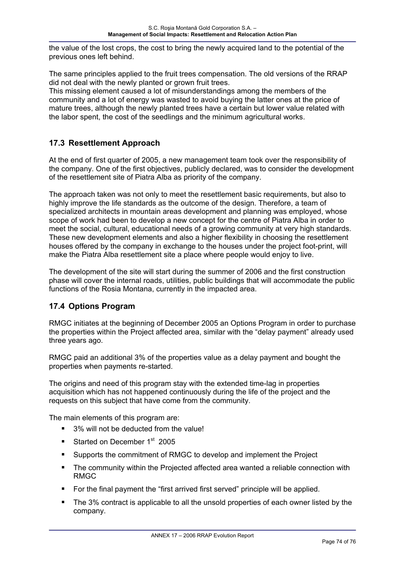the value of the lost crops, the cost to bring the newly acquired land to the potential of the previous ones left behind.

The same principles applied to the fruit trees compensation. The old versions of the RRAP did not deal with the newly planted or grown fruit trees.

This missing element caused a lot of misunderstandings among the members of the community and a lot of energy was wasted to avoid buying the latter ones at the price of mature trees, although the newly planted trees have a certain but lower value related with the labor spent, the cost of the seedlings and the minimum agricultural works.

### **17.3 Resettlement Approach**

At the end of first quarter of 2005, a new management team took over the responsibility of the company. One of the first objectives, publicly declared, was to consider the development of the resettlement site of Piatra Alba as priority of the company.

The approach taken was not only to meet the resettlement basic requirements, but also to highly improve the life standards as the outcome of the design. Therefore, a team of specialized architects in mountain areas development and planning was employed, whose scope of work had been to develop a new concept for the centre of Piatra Alba in order to meet the social, cultural, educational needs of a growing community at very high standards. These new development elements and also a higher flexibility in choosing the resettlement houses offered by the company in exchange to the houses under the project foot-print, will make the Piatra Alba resettlement site a place where people would enjoy to live.

The development of the site will start during the summer of 2006 and the first construction phase will cover the internal roads, utilities, public buildings that will accommodate the public functions of the Rosia Montana, currently in the impacted area.

### **17.4 Options Program**

RMGC initiates at the beginning of December 2005 an Options Program in order to purchase the properties within the Project affected area, similar with the "delay payment" already used three years ago.

RMGC paid an additional 3% of the properties value as a delay payment and bought the properties when payments re-started.

The origins and need of this program stay with the extended time-lag in properties acquisition which has not happened continuously during the life of the project and the requests on this subject that have come from the community.

The main elements of this program are:

- 3% will not be deducted from the value!
- Started on December  $1<sup>st</sup>$  2005
- **Supports the commitment of RMGC to develop and implement the Project**
- The community within the Projected affected area wanted a reliable connection with RMGC
- For the final payment the "first arrived first served" principle will be applied.
- The 3% contract is applicable to all the unsold properties of each owner listed by the company.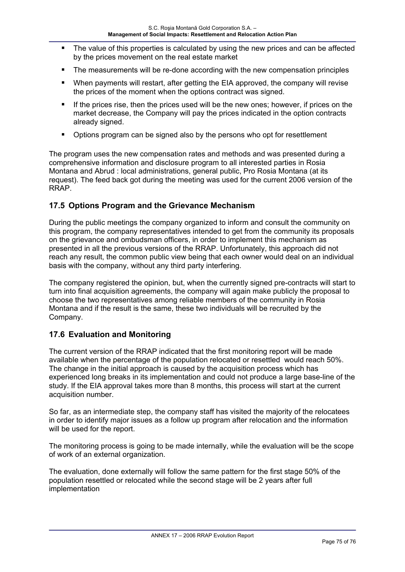- The value of this properties is calculated by using the new prices and can be affected by the prices movement on the real estate market
- **The measurements will be re-done according with the new compensation principles**
- When payments will restart, after getting the EIA approved, the company will revise the prices of the moment when the options contract was signed.
- If the prices rise, then the prices used will be the new ones; however, if prices on the market decrease, the Company will pay the prices indicated in the option contracts already signed.
- Options program can be signed also by the persons who opt for resettlement

The program uses the new compensation rates and methods and was presented during a comprehensive information and disclosure program to all interested parties in Rosia Montana and Abrud : local administrations, general public, Pro Rosia Montana (at its request). The feed back got during the meeting was used for the current 2006 version of the RRAP.

#### **17.5 Options Program and the Grievance Mechanism**

During the public meetings the company organized to inform and consult the community on this program, the company representatives intended to get from the community its proposals on the grievance and ombudsman officers, in order to implement this mechanism as presented in all the previous versions of the RRAP. Unfortunately, this approach did not reach any result, the common public view being that each owner would deal on an individual basis with the company, without any third party interfering.

The company registered the opinion, but, when the currently signed pre-contracts will start to turn into final acquisition agreements, the company will again make publicly the proposal to choose the two representatives among reliable members of the community in Rosia Montana and if the result is the same, these two individuals will be recruited by the Company.

#### **17.6 Evaluation and Monitoring**

The current version of the RRAP indicated that the first monitoring report will be made available when the percentage of the population relocated or resettled would reach 50%. The change in the initial approach is caused by the acquisition process which has experienced long breaks in its implementation and could not produce a large base-line of the study. If the EIA approval takes more than 8 months, this process will start at the current acquisition number.

So far, as an intermediate step, the company staff has visited the majority of the relocatees in order to identify major issues as a follow up program after relocation and the information will be used for the report.

The monitoring process is going to be made internally, while the evaluation will be the scope of work of an external organization.

The evaluation, done externally will follow the same pattern for the first stage 50% of the population resettled or relocated while the second stage will be 2 years after full implementation